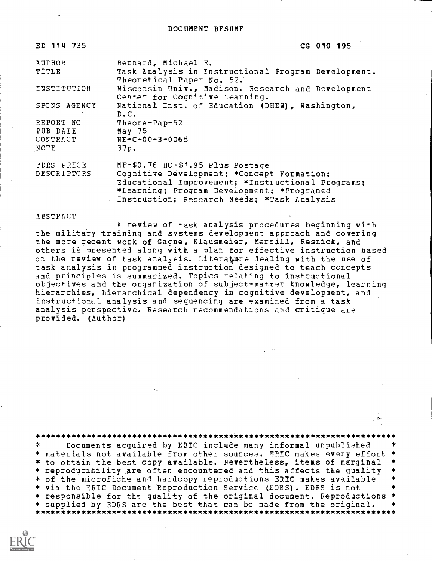| ED 114 735   | CG 010 195                                                                           |
|--------------|--------------------------------------------------------------------------------------|
| AUTHOR       | Bernard, Michael E.                                                                  |
| TITLE        | Task Analysis in Instructional Program Development.<br>Theoretical Paper No. 52.     |
| INSTITUTION  | Wisconsin Univ., Madison. Research and Development<br>Center for Cognitive Learning. |
| SPONS AGENCY | National Inst. of Education (DHEW), Washington,<br>D.C.                              |
| REPORT NO    | Theore-Pap-52                                                                        |
| PUB DATE     | May 75                                                                               |
| CONTRACT     | $NF-C-00-3-0065$                                                                     |
| NOTE         | 37p.                                                                                 |
| FDRS PRICE   | MF-\$0.76 HC-\$1.95 Plus Postage                                                     |
| DESCRIPTORS  | Cognitive Development; *Concept Formation;                                           |
|              | Educational Improvement; *Instructional Programs;                                    |

#### ABSTRACT

A review of task analysis procedures beginning with the military training and systems development approach and covering the more recent work of Gagne, Klausmeier, Merrill, Resnick, and others is presented along with a plan for effective instruction based on the review of task analysis. Literature dealing with the use of task analysis in programmed instruction designed to teach concepts and principles is summarized. Topics relating to instructional objectives and the organization of subject-matter knowledge, learning hierarchies, hierarchical dependency in cognitive development, and instructional analysis and sequencing are examined from a task analysis perspective. Research recommendations and critique are provided. (Author)

\*Learning; Program Development; \*Programed Instruction; Research Needs; \*Task Analysis

\*\*\*\*\*\*\*\*\*\*\*\*\*\*\*\*\*\*\*\*\*\*\*\*\*\*\*\*\*\*\*\*\*\*\*\*\*\*\*\*\*\*\*\*\*\*\*\*\*\*\*\*\*\*\*\*\*\*\*\*\*\*\*\*\*\*\*\*\*\*\* Documents acquired by ERIC include many informal unpublished \* materials not available from other sources. ERIC makes every effort \* \* to obtain the best copy available. Nevertheless, items of marginal<br>\* reproducibility are often encountered and this affects the quality \* of the microfiche and hardcopy reproductions ERIC makes available \* via the ERIC Document Reproduction Service (EDRS). EDRS is not \* responsible for the quality of the original document. Reproductions \*<br>\* supplied by EDRS are the best that can be made from the original. \* \* supplied by EDRS are the best that can be made from the original. \*\*\*\*\*\*\*\*\*\*\*\*\*\*\*\*\*\*\*\*\*\*\*\*\*\*\*\*\*\*\*\*\*\*\*\*\*\*\*\*\*\*\*\*\*\*\*\*\*\*\*\*\*\*\*\*\*\*\*\*\*\*\*\*\*\*\*\*\*\*\*

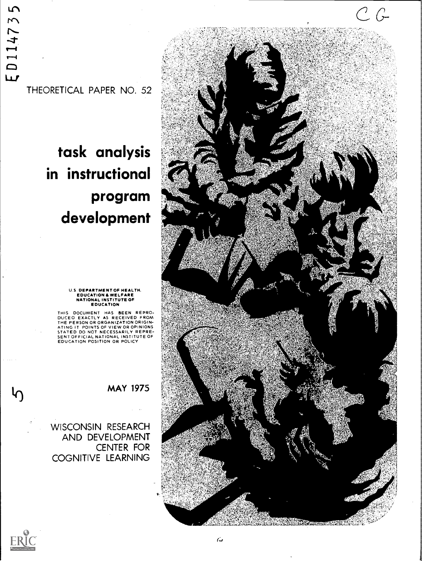$\overline{5}$ ED11473

THEORETICAL PAPER NO. 52

# task analysis in instructional program development



## U.S. DEPARTMENT OF HEALTH,<br>EDUCATION & WELFARE<br>NATIONAL INSTITUTE OF<br>EDUCATION

THIS DOCUMENT HAS BEEN REPRO-DUCEO EXACTLY AS RECEIVED FROM THE PERSON OR ORGANIZATION ORIGIN-ATING IT POINTS OF VIEW OR OPINIONS<br>STATED DO NOT NECESSARILY REPRE-<br>SENT OFFICIAL NATIONAL INSTITUTE OF<br>EDUCATION POSITION OR POLICY

### MAY 1975

WISCONSIN RESEARCH AND DEVELOPMENT CENTER FOR COGNITIVE LEARNING



 $\mathcal{h}_{\mathbf{0}}$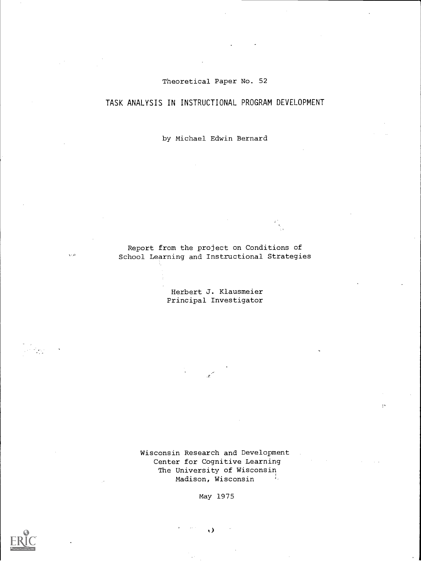#### Theoretical Paper No. 52

#### TASK ANALYSIS IN INSTRUCTIONAL PROGRAM DEVELOPMENT

by Michael Edwin Bernard

Report from the project on Conditions of School Learning and Instructional Strategies

> Herbert J. Klausmeier Principal Investigator

Wisconsin Research and Development Center for Cognitive Learning The University of Wisconsin<br>Madison, Wisconsin Madison, Wisconsin

 $\overline{\mathbf{1}}$  is

May 1975

t)



 $\sqrt{2}$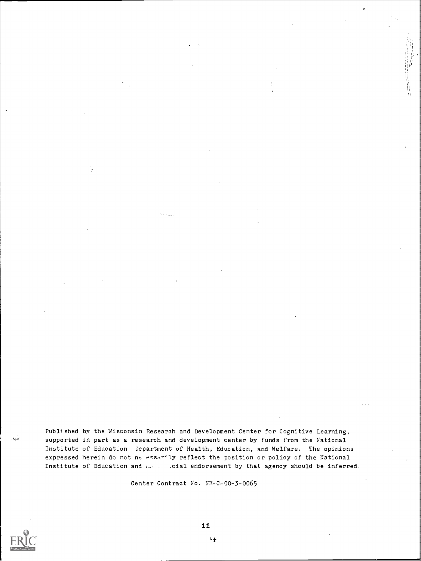Published by the Wisconsin Research and Development Center for Cognitive Learning, supported in part as a research and development center by funds from the National Institute of Education Department of Health, Education, and Welfare. The opinions expressed herein do not ne essanily reflect the position or policy of the National Institute of Education and ... ... cial endorsement by that agency should be inferred.

Center Contract No. NE-C-00-3-0065



شود

 $\mathbf{H}$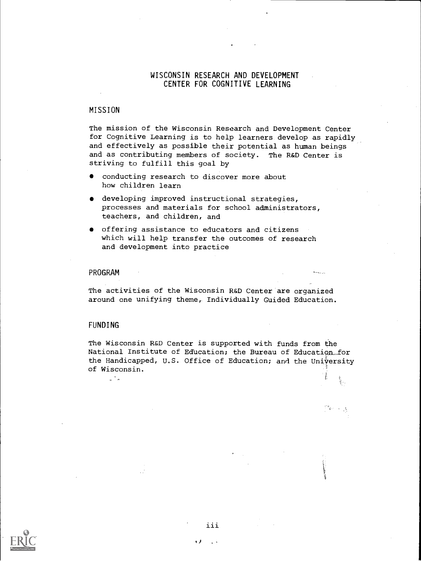#### WISCONSIN RESEARCH AND DEVELOPMENT CENTER FOR COGNITIVE LEARNING

#### MISSION

The mission of the Wisconsin Research and Development Center for Cognitive Learning is to help learners develop as rapidly and effectively as possible their potential as human beings and as contributing members of society. The R&D Center is striving to fulfill this goal by

- conducting research to discover more about how children learn
- developing improved instructional strategies, processes and materials for school administrators, teachers, and children, and
- offering assistance to educators and citizens which will help transfer the outcomes of research and development into practice

#### PROGRAM

The activities of the Wisconsin R&D Center are organized around one unifying theme, Individually Guided Education.

#### FUNDING

"-

The Wisconsin R&D Center is supported with funds from the National Institute of Education; the Bureau of Education...for the Handicapped, U.S. Office of Education; and the University of Wisconsin.

i<br>Bri



iii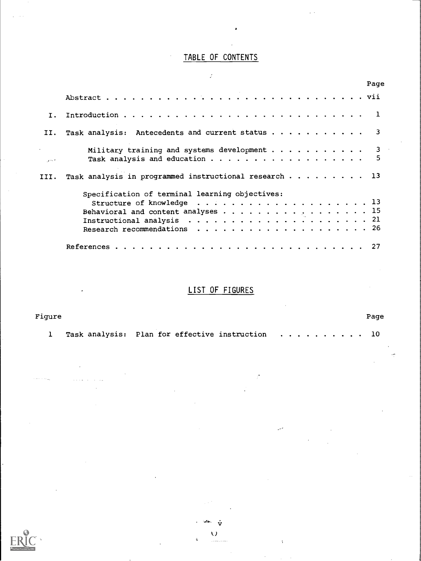## TABLE OF CONTENTS

Ź

|                 | Page                                                                                |
|-----------------|-------------------------------------------------------------------------------------|
|                 |                                                                                     |
| I.              |                                                                                     |
| II.             | Task analysis: Antecedents and current status 3                                     |
| <b>Contract</b> | Military training and systems development $\ldots$ 3<br>5                           |
|                 | III. Task analysis in programmed instructional research 13                          |
|                 | Specification of terminal learning objectives:                                      |
|                 |                                                                                     |
|                 | Behavioral and content analyses $\ldots$ 15                                         |
|                 | Instructional analysis $\ldots \ldots \ldots \ldots \ldots \ldots \ldots \ldots 21$ |
|                 |                                                                                     |

## LIST OF FIGURES

| Fiqure |                                                   | Page |
|--------|---------------------------------------------------|------|
|        | 1 Task analysis: Plan for effective instruction 0 |      |



vい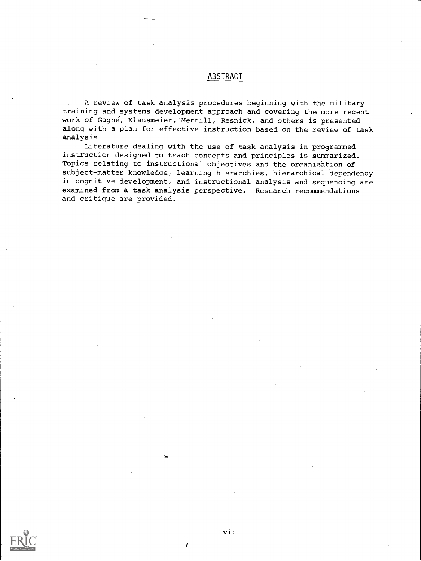#### ABSTRACT

A review of task analysis procedures beginning with the military training and systems development approach and covering the more recent work of Gagne, Klausmeier,'Merrill, Resnick, and others is presented along with a plan for effective instruction based on the review of task analysis

Literature dealing with the use of task analysis in programmed instruction designed to teach concepts and principles is summarized. Topics relating to instructional objectives and the organization of subject-matter knowledge, learning hierarchies, hierarchical dependency in cognitive development, and instructional analysis and sequencing are examined from a task analysis perspective. Research recommendations and critique are provided.

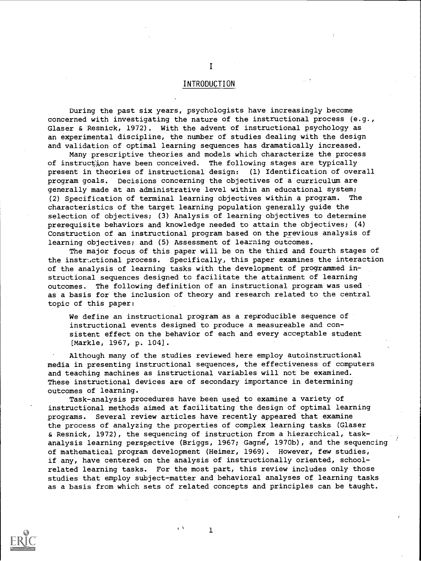#### INTRODUCTION

During the past six years, psychologists have increasingly become concerned with investigating the nature of the instructional process (e.g., Glaser & Resnick, 1972). With the advent of instructional psychology as an experimental discipline, the number of studies dealing with the design and validation of optimal learning sequences has dramatically increased.

Many prescriptive theories and models which characterize the process of instruction have been conceived. The following stages are typically present in theories of instructional design: (1) Identification of overall program goals. Decisions concerning the objectives of a curriculum are generally made at an administrative level within an educational system; (2) Specification of terminal learning objectives within a program. The characteristics of the target learning population generally guide the selection of objectives; (3) Analysis of learning objectives to determine prerequisite behaviors and knowledge needed to attain the objectives; (4) Construction of an instructional program based on the previous analysis of learning objectives; and (5) Assessment of learning outcomes.

The major focus of this paper will be on the third and fourth stages of the instructional process. Specifically, this paper examines the interaction of the analysis of learning tasks with the development of programmed instructional sequences designed to facilitate the attainment of learning outcomes. The following definition of an instructional program was used as a basis for the inclusion of theory and research related to the central topic of this paper:

We define an instructional program as a reproducible sequence of instructional events designed to produce a measureable and consistent effect on the behavior of each and every acceptable student [Markle, 1967, p. 104].

Although many of the studies reviewed here employ autoinstructional media in presenting instructional sequences, the effectiveness of computers and teaching machines as instructional variables will not be examined. These instructional devices are of secondary importance in determining outcomes of learning.

Task-analysis procedures have been used to examine a variety of instructional methods aimed at facilitating the design of optimal learning programs. Several review articles have recently appeared that examine the process of analyzing the properties of complex learning tasks (Glaser & Resnick, 1972), the sequencing of instruction from a hierarchical, taskanalysis learning perspective (Briggs, 1967; Gagne, 1970b), and the sequencing of mathematical program development (Heimer, 1969). However, few studies, if any, have centered on the analysis of instructionally oriented, schoolrelated learning tasks. For the most part, this review includes only those studies that employ subject-matter and behavioral analyses of learning tasks as a basis from which sets of related concepts and principles can be taught.



 $\blacksquare$ 

1

 $\cdot$   $\lambda$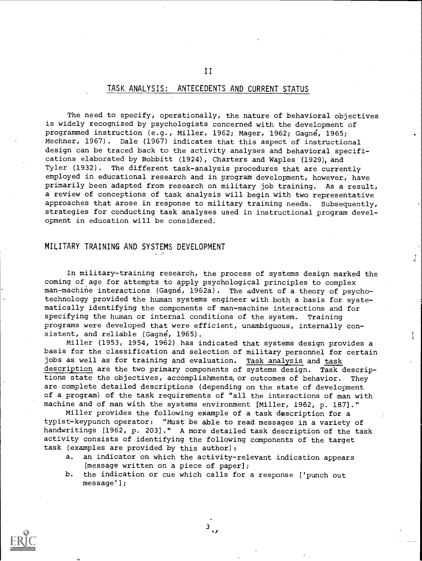#### TASK ANALYSIS: ANTECEDENTS AND CURRENT STATUS

II

The need to specify, operationally, the nature of behavioral objectives is widely recognized by psychologists concerned with the development of programmed instruction (e.g., Miller, 1962; Mager, 1962; Gagné, 1965; Mechner, 1967). Dale (1967) indicates that this aspect of instructional design can be traced back to the activity analyses and behavioral specifications elaborated by Bobbitt (1924), Charters and Waples (1929), and Tyler (1932). The different task-analysis procedures that are currently employed in educational research and in program development, however, have primarily been adapted from research on military job training. As a result, a review of conceptions of task analysis will begin with two representative approaches that arose in response to military training needs. Subsequently, strategies for conducting task analyses used in instructional program development in education will be considered.

#### MILITARY TRAINING AND SYSTEMS DEVELOPMENT

In military-training research, the process of systems design marked the coming of age for attempts to apply psychological principles to complex man-machine interactions (Gagné, 1962a). The advent of a theory of psychotechnology provided the human systems engineer with both a basis for systematically identifying the components of man-machine interactions and for specifying the human or internal conditions of the system. Training programs were developed that were efficient, unambiguous, internally consistent, and reliable (Gagne, 1965).

Miller (1953, 1954, 1962) has indicated that systems design provides a basis for the classification and selection of military personnel for certain jobs as well as for training and evaluation. Task analysis and task description are the two primary components of systems design. Task descriptions state the objectives, accomplishments, or outcomes of behavior. They are complete detailed descriptions (depending on the state of development of a program) of the task requirements of "all the interactions of man with machine and of man with the systems environment [Miller, 1962, p. 187]."

Miller provides the following example of a task description for a typist-keypunch operator: "Must be able to read messages in a variety of handwritings [1962, p. 203]." A more detailed task description of the task activity consists of identifying the following components of the target task (examples are provided by this author):

- a. an indicator on which the activity-relevant indication appears [message written on a piece of paper];
- b. the indication or cue which calls for a response ['punch out  $message'$ ];

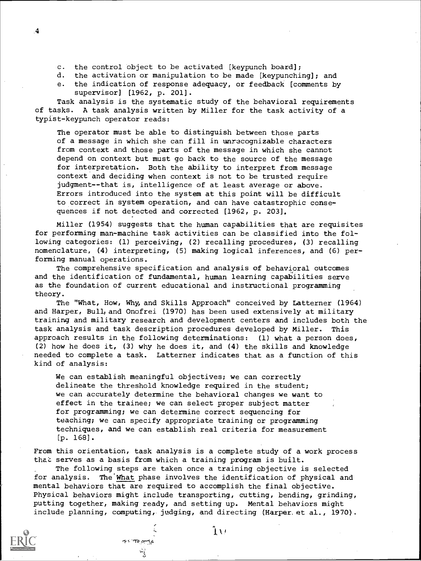- c. the control object to be activated [keypunch board];
- d. the activation or manipulation to be made [keypunching]; and
- e. the indication of response adequacy, or feedback [comments by supervisor] [1962, p. 201].

Task analysis is the systematic study of the behavioral requirements of tasks. A task analysis written by Miller for the task activity of a typist-keypunch operator reads:

The operator must be able to distinguish between those parts of a message in which she can fill in unrecognizable characters from context and those parts of the message in which she cannot depend on context but must go back to the source of the message for interpretation. Both the ability to interpret from message context and deciding when context is not to be trusted require judgment--that is, intelligence of at least average or above. Errors introduced into the system at this point will be difficult to correct in system operation, and can have catastrophic consequences if not detected and corrected [1962, p. 203].

Miller (1954) suggests that the human capabilities that are requisites for performing man-machine task activities can be classified into the following categories: (1) perceiving, (2) recalling procedures, (3) recalling nomenclature, (4) interpreting, (5) making logical inferences, and (6) performing manual operations.

The comprehensive specification and analysis of behavioral outcomes and the identification of fundamental, human learning capabilities serve as the foundation of current educational and instructional programming theory.

The "What, How, Why, and Skills Approach" conceived by Latterner (1964) and Harper, Bull, and Onofrei (1970) has been used extensively at military training and military research and development centers and includes both the task analysis and task description procedures developed by Miller. This approach results in the following determinations: (1) what a person does, (2) how he does it, (3) why he does it, and (4) the skills and knowledge needed to complete a task. Latterner indicates that as a function of this kind of analysis:

We can establish meaningful objectives; we can correctly delineate the threshold knowledge required in the student; we can accurately determine the behavioral changes we want to effect in the trainee; we can select proper subject matter for programming; we can determine correct sequencing for teaching; we can specify appropriate training or programming techniques, and we can establish real criteria for measurement [p. 168] .

From this orientation, task analysis is a complete study of a work process that serves as a basis from which a training program is built.

The following steps are taken once a training objective is selected for analysis. The'What phase involves the identification of physical and mental behaviors that are required to accomplish the final objective. Physical behaviors might include transporting, cutting, bending, grinding, putting together, making ready, and setting up. Mental behaviors might include planning, computing, judging, and directing (Harper.et al., 1970).

 $\mathbf{H}$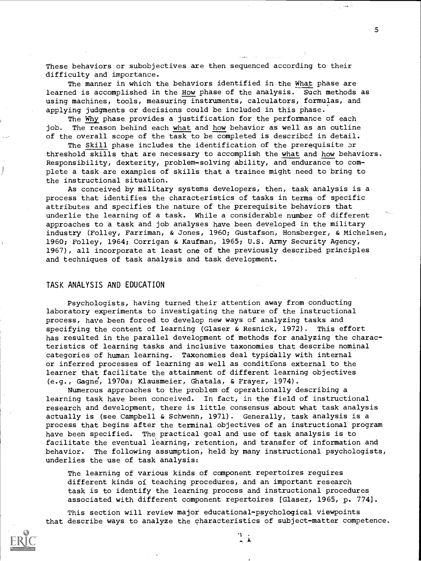These behaviors or subobjectives are then sequenced according to their difficulty and importance.

The manner in which the behaviors identified in the What phase are learned is accomplished in the How phase of the analysis. Such methods as using machines, tools, measuring instruments, calculators, formulas, and applying judgments or decisions could be included in this phase.

The Why phase provides a justification for the performance of each job. The reason behind each what and how behavior as well as an outline of the overall scope of the task to be completed is described in detail.

The Skill phase includes the identification of the prerequisite or threshold skills that are necessary to accomplish the what and how behaviors. Responsibility, dexterity, problem-solving ability, and endurance to complete a task are examples of skills that a trainee might need to bring to the instructional situation.

As conceived by military systems developers, then, task analysis is a process that identifies the characteristics of tasks in terms of specific attributes and specifies the nature of the prerequisite behaviors that underlie the learning of a task. While a considerable number of different approaches to a task and job analyses have been developed in the military industry (Folley, Farriman, & Jones, 1960; Gustafson, Honsberger, & Michelsen, 1960; Folley, 1964; Corrigan & Kaufman, 1965; U.S. Army Security Agency, 1967), all incorporate at least one of the previously described principles and techniques of task analysis and task development.

#### TASK ANALYSIS AND EDUCATION

Psychologists, having turned their attention away from conducting laboratory experiments to investigating the nature of the instructional process, have been forced to develop new ways of analyzing tasks and specifying the content of learning (Glaser & Resnick, 1972). This effort has resulted in the parallel development of methods for analyzing the characteristics of learning tasks and inclusive taxonomies that describe nominal categories of human learning. Taxonomies deal typically with internal or inferred processes of learning as well as conditions external to the learner that facilitate the attainment of different learning objectives (e.g., Gagne, 1970a; Klausmeier, Ghatala, & Frayer, 1974).

Numerous approaches to the problem of operationally describing a learning task have been conceived. In fact, in the field of instructional research and development, there is little consensus about what task analysis actually is (see Campbell & Schwenn, 1971). Generally, task analysis is a process that begins after the terminal objectives of an instructional program have been specified. The practical goal and use of task analysis is to facilitate the eventual learning, retention, and transfer of information and behavior. The following assumption, held by many instructional psychologists, underlies the use of task analysis:

The learning of various kinds of component repertoires requires different kinds of teaching procedures, and an important research task is to identify the learning process and instructional procedures associated with different component repertoires [Glaser, 1965, p. 774].

This section will review major educational-psychological viewpoints that describe ways to analyze the characteristics of subject-matter competence.



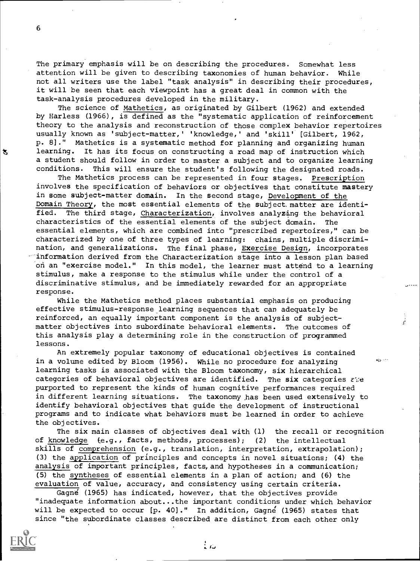The primary emphasis will be on describing the procedures. Somewhat less attention will be given to describing taxonomies of human behavior. While not all writers use the label "task analysis" in describing their procedures, it will be seen that each viewpoint has a great deal in common with the task-analysis procedures developed in the military.

The science of Mathetics, as originated by Gilbert (1962) and extended by Harless (1966), is defined as the "systematic application of reinforcement theory to the analysis and reconstruction of those complex behavior repertoires usually known as 'subject-matter,' 'knowledge,' and 'skill' [Gilbert, 1962, p. 8]." Mathetics is a systematic method for planning and organizing human learning. It has its focus on constructing a road map of instruction which a student should follow in order to master a subject and to organize learning conditions. This will ensure the student's following the designated roads.

The Mathetics process can be represented in four stages. Prescription involves the specification of behaviors or objectives that constitute mastery in some subject-matter domain. In the second stage, Development of the Domain Theory, the most essential elements of the subject matter are identi-<br>fied. The third stage, Characterization, involves analyzing the behavioral The third stage, Characterization, involves analyzing the behavioral characteristics of the essential elements of the subject domain. The essential elements, which are combined into "prescribed repertoires," can be characterized by one of three types of learning: chains, multiple discrimination, and generalizations. The final phase, Exercise Design, incorporates information derived from the Characterization stage into a lesson plan based on an "exercise model." In this model, the learner must attend to a learning stimulus, make a response to the stimulus while under the control of a discriminative stimulus, and be immediately rewarded for an appropriate response.

While the Mathetics method places substantial emphasis on producing effective stimulus-response learning sequences that can adequately be reinforced, an equally important component is the analysis of subjectmatter objectives into subordinate behavioral elements. The outcomes of this analysis play a determining role in the construction of programmed lessons.

An extremely popular taxonomy of educational objectives is contained in a volume edited by Bloom (1956). While no procedure for analyzing the second section learning tasks is associated with the Bloom taxonomy, six hierarchical categories of behavioral objectives are identified. The six categories  $\epsilon$ ie purported to represent the kinds of human cognitive performances required in different learning situations. The taxonomy has been used extensively to identify behavioral objectives that guide the development of instructional programs and to indicate what behaviors must be learned in order to achieve the objectives.

The six main classes of objectives deal with (1) the recall or recognition of knowledge (e.g., facts, methods, processes); (2) the intellectual skills of comprehension (e.g., translation, interpretation, extrapolation); (3) the application of principles and concepts in novel situations; (4) the analysis of important principles, facts, and hypotheses in a communication; (5) the syntheses of essential elements in a plan of action; and (6) the evaluation of value, accuracy, and consistency using certain criteria.

Gagne (1965) has indicated, however, that the objectives provide "inadequate information about...the important conditions under which behavior will be expected to occur [p. 40]." In addition, Gagne (1965) states that since "the subordinate classes described are distinct from each other only

ت :

6

恕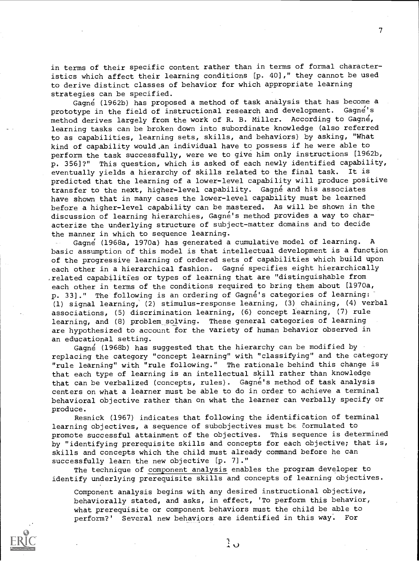in terms of their specific content rather than in terms of formal characteristics which affect their learning conditions [p. 40]," they cannot be used to derive distinct classes of behavior for which appropriate learning strategies can be specified.

Gagné (1962b) has proposed a method of task analysis that has become a prototype in the field of instructional research and development. Gagne's method derives largely from the work of R. B. Miller. According to Gagne, learning tasks can be broken down into subordinate knowledge (also referred to as capabilities, learning sets, skills, and behaviors) by asking, "What kind of capability would.an individual have to possess if he were able to perform the task successfully, were we to give him only instructions [1962b, p. 356]?" This question, which is asked of each newly identified capability,<br>eventually vields a hierarchy of skills related to the final task. It is eventually yields a hierarchy of skills related to the final task. predicted that the learning of a lower-level capability will produce positive transfer to the next, higher-level capability. Gagné and his associates have shown that in many cases the lower-level capability must be learned before a higher-level capability can be mastered. As will be shown in the discussion of learning hierarchies, Gagné's method provides a way to characterize the underlying structure of subject-matter domains and to decide the manner in which to sequence learning.

Gagne (1968a, 1970a) has generated a cumulative model of learning. A basic assumption of this model is that intellectual development is a function of the progressive learning of ordered sets of capabilities which build upon each other in a hierarchical fashion. Gagné specifies eight hierarchically .related capabilities or types of learning that are "distinguishable from each other in terms of the conditions required to bring them about [1970a, p. 33]." The following is an ordering of Gagne's categories of learning: (1) signal learning, (2) stimulus-response learning, (3) chaining, (4) verbal associations, (5) discrimination learning, (6) concept learning, (7) rule learning, and (8) problem solving. These general categories of learning are hypothesized to account for the variety of human behavior observed in an educational setting.

Gagne (1968b) has suggested that the hierarchy can be modified by replacing the category "concept learning" with "classifying" and the category "rule learning" with "rule following." The rationale behind this change is that each type of learning is an intellectual skill rather than knowledge that can be verbalized (concepts, rules). Gagne's method of task analysis centers on what a learner must be able to do in order to achieve a terminal behavioral objective rather than on what the learner can verbally specify or produce.

Resnick (1967) indicates that following the identification of terminal learning objectives, a sequence of subobjectives must be Eormulated to promote successful attainment of the objectives. This sequence is determined by "identifying prerequisite skills and concepts for each objective; that is, skills and concepts which the child must already command before he can successfully learn the new objective [p. 7]."

The technique of component analysis enables the program developer to identify underlying prerequisite skills and concepts of learning objectives.

Component analysis begins with any desired instructional objective, behaviorally stated, and asks, in effect, 'To perform this behavior, what prerequisite or component behaviors must the child be able to perform?' Several new behaviors are identified in this way. For



ិ្ត

 $\mathcal{T}$  and  $\mathcal{T}$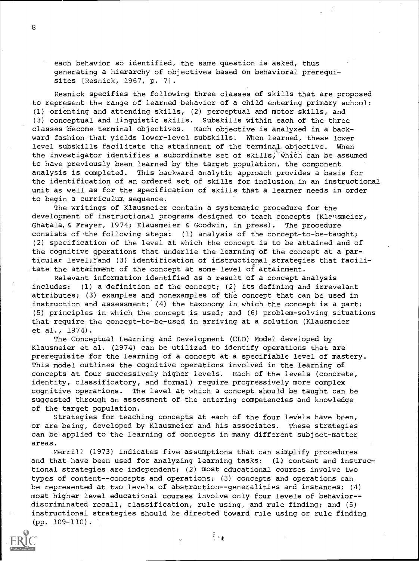each behavior so identified, the same question is asked, thus generating a hierarchy of objectives based on behavioral prerequisites [Resnick, 1967, p. 7].

Resnick specifies the following three classes of skills that are proposed to represent the range of learned behavior of a child entering primary school: (1) orienting and attending skills, (2) perceptual and motor skills, and (3) conceptual and linguistic skills. Subskills within each of the three classes become terminal objectives. Each objective is analyzed in a backward fashion that yields lower-level subskills. When learned, these lower level subskills facilitate the attainment of the terminal objective. When the investigator identifies a subordinate set of skills, which can be assumed to have previously been learned by the target population, the component analysis is completed. This backward analytic approach provides a basis for the identification of an ordered set of skills for inclusion in an instructional unit as well as for the specification of skills that a learner needs in order to begin a curriculum sequence.

The writings of Klausmeier contain a systematic procedure for the development of instructional programs designed to teach concepts (Klausmeier, Ghatala,& Frayer, 1974; Klausmeier & Goodwin, in press). The procedure consists of the following steps:  $(1)$  analysis of the concept-to-be-taught; (2) specification of the level at which the concept is to be attained and of the cognitive operations that underlie the learning of the concept at a particular level;, and (3) identification of instructional strategies that facilitate the attainment of the concept at some level of attainment.

Relevant information identified as a result of a concept analysis includes: (1) a definition of the concept; (2) its defining and irrevelant attributes; (3) examples and nonexamples of the concept that can be used in instruction and assessment; (4) the taxonomy in which the concept is a part; (5) principles in which the concept is used; and (6) problem-solving situations that require the concept-to-be-used in arriving at a solution (Klausmeier et al., 1974).

The Conceptual Learning and Development (CLD) Model developed by Klausmeier et al. (1974) can be utilized to identify operations that are prerequisite for the learning of a concept at a specifiable level of mastery. This model outlines the cognitive operations involved in the learning of concepts at four successively higher levels. Each of the levels (concrete, identity, classificatory, and formal) require progressively more complex cognitive operations. The level at which a concept should be taught can be suggested through an assessment of the entering competencies and knowledge of the target population.

Strategies for teaching concepts at each of the four levels have been, or are being, developed by Klausmeier and his associates. These strategies can be applied to the learning of concepts in many different subject-matter areas.

Merrill (1973) indicates five assumptions that can simplify procedures and that have been used for analyzing learning tasks:  $(1)$  content and instructional strategies are independent; (2) most educational courses involve two types of content--concepts and operations; (3) concepts and operations can be represented at two levels of abstraction--generalities and instances; (4) most higher level educational courses involve only four levels of behavior-discriminated recall, classification, rule using, and rule finding; and (5) instructional strategies should be directed toward rule using or rule finding (pp. 109-110).

8



ह<br>∫मक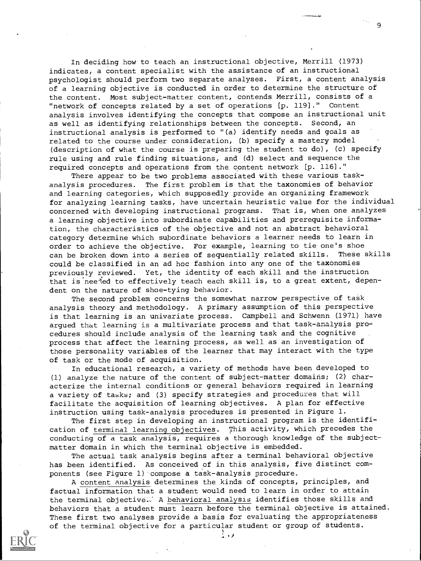In deciding how to teach an instructional objective, Merrill (1973) indicates, a content specialist with the assistance of an instructional psychologist should perform two separate analyses. First, a content analysis of a learning objective is conducted in order to determine the structure of the content. Most subject-matter content, contends Merrill, consists of a "network of concepts related by a set of operations [p. 119]." Content analysis involves identifying the concepts that compose an instructional unit as well as identifying relationships between the concepts. Second, an instructional analysis is performed to "(a) identify needs and goals as related to the course under consideration, (b) specify a mastery model (description of what the course is preparing the student to do), (c) specify rule using and rule finding situations, and (d) select and sequence the required concepts and operations from the content network [p. 1161."

9

There appear to be two problems associated with these various taskanalysis procedures. The first problem is that the taxonomies of behavior and learning categories, which supposedly provide an organizing framework for analyzing learning tasks, have uncertain heuristic value for the individual concerned with developing instructional programs. That is, when one analyzes a learning objective into subordinate capabilities and prerequisite information, the characteristics of the objective and not an abstract behavioral category determine which subordinate behaviors a learner needs to learn in order to achieve the objective. For example, learning to tie one's shoe can be broken down into a series of sequentially related skills. These skills could be classified in an ad hoc fashion into any one of the taxonomies previously reviewed. Yet, the identity of each skill and the instruction that is nee-led to effectively teach each skill is, to a great extent, dependent on the nature of shoe-tying behavior.

The second problem concerns the somewhat narrow perspective of task analysis theory and methodology. A primary assumption of this perspective is that learning is an univariate process. Campbell and Schwenn (1971) have argued that learning is a multivariate process and that task-analysis procedures should include analysis of the learning task and the cognitive process that affect the learning process, as well as an investigation of those personality variables of the learner that may interact with the type of task or the mode of acquisition.

In educational research, a variety of methods have been developed to (1) analyze the nature of the content of subject-matter domains; (2) characterize the internal conditions or general behaviors required in learning a variety of tasks; and (3) specify strategies and procedures that will facilitate the acquisition of learning objectives. A plan for effective instruction using task-analysis procedures is presented in Figure 1.

The first step in developing an instructional program is the identification of terminal learning objectives. This activity, which precedes the conducting of a task analysis, requires a thorough knowledge of the subjectmatter domain in which the terminal objective is embedded.

The actual task analysis begins after a terminal behavioral objective has been identified. As conceived of in this analysis, five distinct components (see Figure 1) compose a task-analysis procedure.

A content analysis determines the kinds of concepts, principles, and factual information that a student would need to learn in order to attain the terminal objective... A behavioral analysis identifies those skills and behaviors that a student must learn before the terminal objective is attained. These first two analyses provide a basis for evaluating the appropriateness of the terminal objective for a particular student or group of students.



 $\frac{1}{2}$  and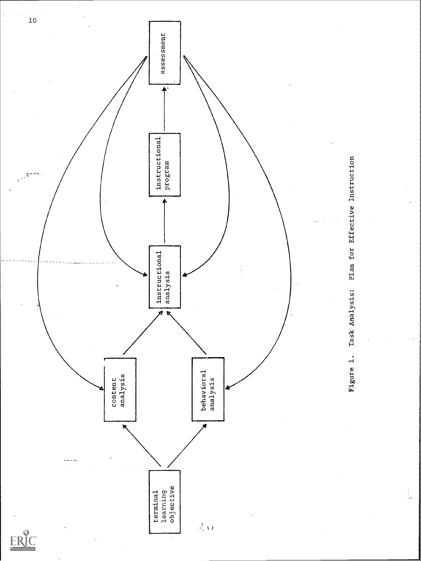

 $\frac{1}{2}$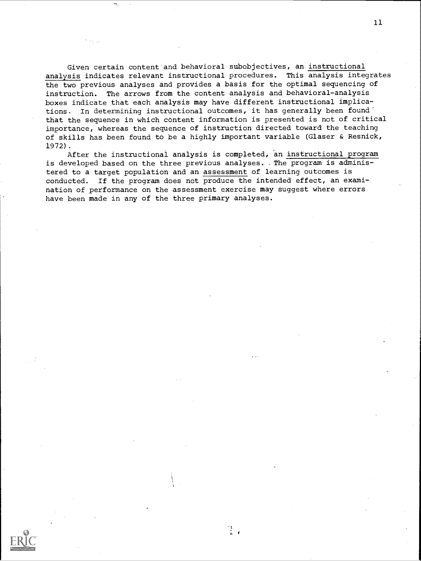Given certain content and behavioral subobjectives, an instructional analysis indicates relevant instructional procedures. This analysis integrates the two previous analyses and provides a basis for the optimal sequencing of instruction. The arrows from the content analysis and behavioral-analysis boxes indicate that each analysis may have different instructional implications. In determining instructional outcomes, it has generally been found' that the sequence in which content information is presented is not of critical importance, whereas the sequence of instruction directed toward the teaching of skills has been found to be a highly important variable (Glaser & Resnick, 1972).

After the instructional analysis is completed, an instructional program is developed based on the three previous analyses. The program is administered to a target population and an assessment of learning outcomes is conducted. If the program does not produce the intended effect, an examination of performance on the assessment exercise may suggest where errors have been made in any of the three primary analyses.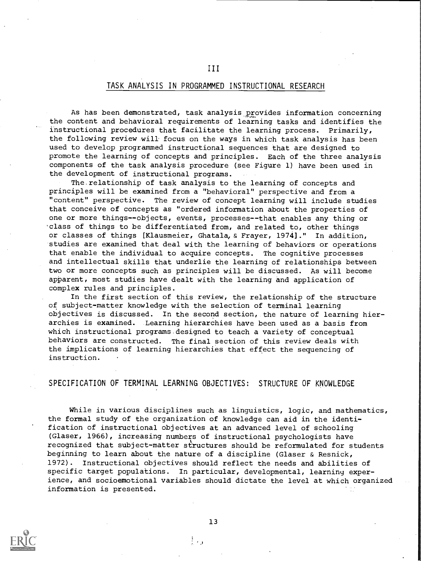#### TASK ANALYSIS IN PROGRAMMED INSTRUCTIONAL RESEARCH

III

As has been demonstrated, task analysis provides information concerning the content and behavioral requirements of learning tasks and identifies the instructional procedures that facilitate the learning process. Primarily, the following review will focus on the ways in which task analysis has been used to develop programmed instructional sequences that are designed to promote the learning of concepts and principles. Each of the three analysis components of the task analysis procedure (see Figure 1) have been used in the development of instructional programs.

The.relationship of task analysis to the learning of concepts and principles will be examined from a "behavioral" perspective and from a "content" perspective. The review of concept learning will include studies that conceive of concepts as "ordered information about the properties of one or more things--objects, events, processes--that enables any thing or 'class of things to be differentiated from, and related to, other things or classes of things [Klausmeier, Ghatala,& Frayer, 1974]." In addition, studies are examined that deal with the learning of behaviors or operations that enable the individual to acquire concepts. The cognitive processes and intellectual skills that underlie the learning of relationships between two or more concepts such as principles will be discussed. As will become apparent, most studies have dealt with the learning and application of complex rules and principles.

In the first section of this review, the relationship of the structure of subject-matter knowledge with the selection of terminal learning objectives is discussed. In the second section, the nature of learning hierarchies is examined. Learning hierarchies have been used as a basis from which instructional programs.designed to teach a variety of conceptual behaviors are constructed. The final section of this review deals with the implications of learning hierarchies that effect the sequencing of instruction.

#### SPECIFICATION OF TERMINAL LEARNING OBJECTIVES: STRUCTURE OF KNOWLEDGE

While in various disciplines such as linguistics, logic, and mathematics, the formal study of the organization of knowledge can aid in the identification of instructional objectives at an advanced level of schooling (Glaser, 1966), increasing numbers of instructional psychologists have recognized that subject-matter structures should be reformulated for students beginning to learn about the nature of a discipline (Glaser & Resnick, 1972). Instructional objectives should reflect the needs and abilities of specific target populations. In particular, developmental, learning experience, and socioemotional variables should dictate the level at which organized information is presented.



13

 $\frac{1}{2}$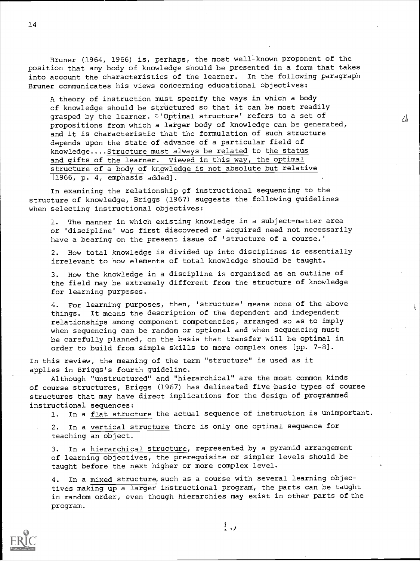Bruner (1964, 1966) is, perhaps, the most well-known proponent of the position that any body of knowledge should be presented in a form that takes into account the characteristics of the learner. In the following paragraph Bruner communicates his views concerning educational objectives:

A theory of instruction must specify the ways in which a body of knowledge should be structured so that it can be most readily grasped by the learner.  $\bar{z}$ 'Optimal structure' refers to a set of propositions from which a larger body of knowledge can be generated, and it is characteristic that the formulation of such structure depends upon the state of advance of a particular field of knowledge....Structure must always be related to the status and gifts of the learner. Viewed in this way, the optimal structure of a body of knowledge is not absolute but relative [1966, p. 4, emphasis added].

小

In examining the relationship of instructional sequencing to the structure of knowledge, Briggs (1967) suggests the following guidelines when selecting instructional objectives:

1. The manner in which existing knowledge in a subject-matter area or 'discipline' was first discovered or acquired need not necessarily have a bearing on the present issue of 'structure of a course.'

2. How total knowledge is divided up into disciplines is essentially irrelevant to how elements of total knowledge should be taught.

3. How the knowledge in a discipline is organized as an outline of the field may be extremely different from the structure of knowledge for learning purposes.

4. For learning purposes, then, 'structure' means none of the above things. It means the description of the dependent and independent relationships among component competencies, arranged so as to imply when sequencing can be random or optional and when sequencing must be carefully planned, on the basis that transfer will be optimal in order to build from simple skills to more complex ones [pp. 7-8].

In this review, the meaning of the term "structure" is used as it applies in Briggs's fourth guideline.

Although "unstructured" and "hierarchical" are the most common kinds of course structures, Briggs (1967) has delineated five basic types of course structures that may have direct implications for the design of programmed instructional sequences:

1. In a flat structure the actual sequence of instruction is unimportant.

2. In a vertical structure there is only one optimal sequence for teaching an object.

3. In a hierarchical structure, represented by a pyramid arrangement of learning objectives, the prerequisite or simpler levels should be taught before the next higher or more complex level.

4. In a mixed structure, such as a course with several learning objectives making up a larger instructional program, the parts can be taught in random order, even though hierarchies may exist in other parts of the program.



 $\mathbb{F}_{\mathbf{u}}$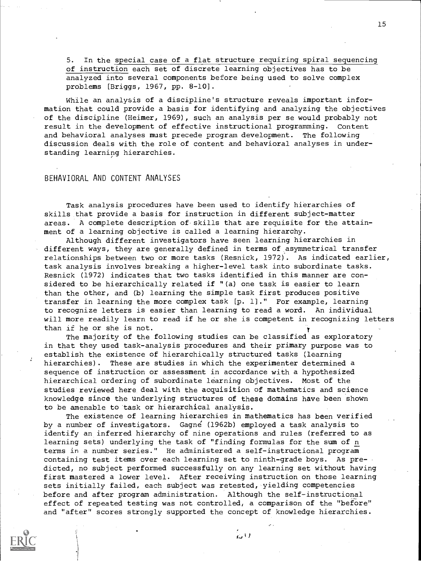5. In the special case of a flat structure requiring spiral sequencing of instruction each set of discrete learning objectives has to be analyzed into several components before being used to solve complex problems [Briggs, 1967, pp. 8-10].

While an analysis of a discipline's structure reveals important information that could provide a basis for identifying and analyzing the objectives of the discipline (Heimer, 1969), such an analysis per se would probably not result in the development of effective instructional programming. Content and behavioral analyses must precede program development. The following discussion deals with the role of content and behavioral analyses in understanding learning hierarchies.

#### BEHAVIORAL AND CONTENT ANALYSES

Task analysis procedures have been used to identify hierarchies of skills that provide a basis for instruction in different subject-matter areas. A complete description of skills that are requisite for the attainment of a learning objective is called a learning hierarchy.

Although different investigators have seen learning hierarchies in different ways, they are generally defined in terms of asymmetrical transfer relationships between two or more tasks (Resnick, 1972). As indicated earlier, task analysis involves breaking a higher-level task into subordinate tasks. Resnick (1972) indicates that two tasks identified in this manner are considered to be hierarchically related if "(a) one task is easier to learn than the other, and (b) learning the simple task first produces positive transfer in learning the more complex task [p. 1]." For example, learning to recognize letters is easier than learning to read a word. An individual will more readily learn to read if he or she is competent in recognizing letters than if he or she is not.

The majority of the following studies can be classified as exploratory in that they used task-analysis procedures and their primary purpose was to establish the existence of hierarchically structured tasks (learning hierarchies). These are studies in which the experimenter determined a sequence of instruction or assessment in accordance with a hypothesized hierarchical ordering of subordinate learning objectives. Most of the studies reviewed here deal with the acquisition of mathematics and science knowledge since the underlying structures of these domains have been shown to be amenable to task or hierarchical analysis.

The existence of learning hierarchies in mathematics has been verified by a number of investigators. Gagne (1962b) employed a task analysis to identify an inferred hierarchy of nine operations and rules (referred to as learning sets) underlying the task of "finding formulas for the sum of n terms in a number series." He administered a self-instructional program containing test items over each learning set to ninth-grade boys. As predicted, no subject performed successfully on any learning set without having first mastered a lower level. After receiving instruction on those learning sets initially failed, each subject was retested, yielding competencies before and after program administration. Although the self-instructional effect of repeated testing was not controlled, a comparison of the "before" and "after" scores strongly supported the concept of knowledge hierarchies.

ا ا ت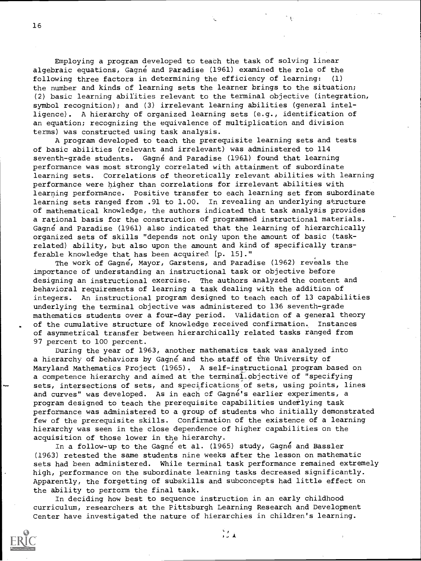Employing a program developed to teach the task of solving linear algebraic equations, Gagné and Paradise (1961) examined the role of the following three factors in determining the efficiency of learning: (1) the number and kinds of learning sets the learner brings to the situation; (2) basic learning abilities relevant to the terminal objective (integration, symbol recognition); and (3) irrelevant learning abilities (general intelligence). A hierarchy of organized learning sets (e.g., identification of an equation; recognizing the equivalence of multiplication and division terms) was constructed using task analysis.

A program developed to teach the prerequisite learning sets and tests of basic abilities (relevant and irrelevant) was administered to 114 seventh-grade students. Gagné and Paradise (1961) found that learning performance was most strongly correlated with attainment of subordinate learning sets. Correlations of theoretically relevant abilities with learning performance were higher than correlations for irrelevant abilities with learning performance. Positive transfer to each learning set from subordinate learning sets ranged from .91 to 1.00. In revealing an underlying structure of mathematical knowledge, the authors indicated that task analysis provides a rational basis for the construction of programmed instructional materials. Gagne and Paradise (1961) also indicated that the learning of hierarchically organized sets of skills "depends not only upon the amount of basic (taskrelated) ability, but also upon the amount and kind of specifically transferable knowledge that has been acquired (p. 15]."

The work of Gagne, Mayor, Garstens, and Paradise (1962) reveals the importance of understanding an instructional task or objective before designing an instructional exercise. The authors analyzed the content and behavioral requirements of learning a task dealing with the addition of integers. An instructional program designed to teach each of 13 capabilities underlying the terminal objective was administered to 136 seventh-grade mathematics students over a four-day period. Validation of a general theory of the cumulative structure of knowledge received confirmation. Instances of asymmetrical transfer between hierarchically related tasks ranged from 97 percent to 100 percent.

During the year of 1963, another mathematics task was analyzed into a hierarchy of behaviors by Gagne and the staff of the University of Maryland Mathematics Project (1965). A self-instructional program based on a competence hierarchy and aimed at the terminal objective of "specifying sets, intersections of sets, and specifications of sets, using points, lines and curves" was developed. As in each of Gagne's earlier experiments, a program designed to teach the prerequisite capabilities underlying task performance was administered to a group of students who initially demonstrated few of the prerequisite skills. Confirmation of the existence of a learning hierarchy was seen in the close dependence of higher capabilities on the acquisition of those lower in the hierarchy.

In a follow-up to the Gagne et al. (1965) study, Gagne and Bassler (1963) retested the same students nine weeks after the lesson on mathematic sets had been administered. While terminal task performance remained extremely high, performance on the subordinate learning tasks decreased significantly. Apparently, the forgetting of subskills and subconcepts had little effect on the ability to pertorm the final task.

 $\mathcal{L}_{\mathcal{A}}$ 

In deciding how best to sequence instruction in an early childhood curriculum, researchers at the Pittsburgh Learning Research and Development Center have investigated the nature of hierarchies in children's learning.

16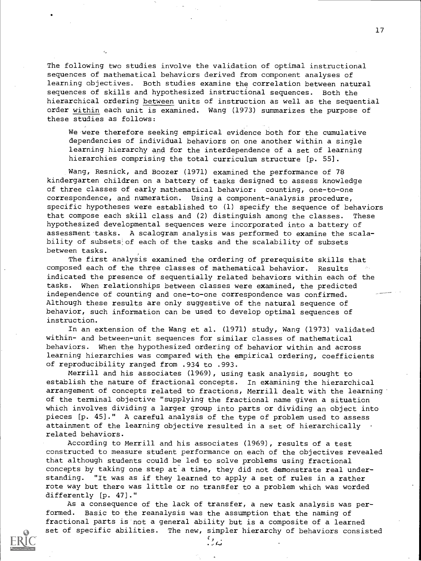The following two studies involve the validation of optimal instructional sequences of mathematical behaviors derived from component analyses of learning objectives. Both studies examine the correlation between natural sequences of skills and hypothesized instructional sequences. Both the hierarchical ordering between units of instruction as well as the sequential order within each unit is examined. Wang (1973) summarizes the purpose of these studies as follows:

We were therefore seeking empirical evidence both for the cumulative dependencies of individual behaviors on one another within a single learning hierarchy and for the interdependence of a set of learning hierarchies comprising the total curriculum structure [p. 55].

Wang, Resnick, and Boozer (1971) examined the performance of 78 kindergarten children on a battery of tasks designed to assess knowledge of three classes of early mathematical behavior: counting, one-to-one correspondence, and numeration. Using a component-analysis procedure, specific hypotheses were established to (1) specify the sequence of behaviors that compose each skill class and (2) distinguish among the classes. These hypothesized developmental sequences were incorporated into a battery of assessment tasks. A scalogram analysis was performed to examine the scalability of subsets of each of the tasks and the scalability of subsets between tasks.

The first analysis examined the ordering of prerequisite skills that composed each of the three classes of mathematical behavior. Results indicated the presence of sequentially related behaviors within each of the tasks. When relationships between classes were examined, the predicted independence of counting and one-to-one correspondence was confirmed. Although these results are only suggestive of the natural sequence of behavior, such information can be used to develop optimal sequences of instruction.

In an extension of the Wang et al. (1971) study, Wang (1973) validated within- and between-unit sequences for similar classes of mathematical behaviors. When the hypothesized ordering of behavior within and across learning hierarchies was compared with the empirical ordering, coefficients of reproducibility ranged from .934 to .993.

Merrill and his associates (1969), using task analysis, sought to establish the nature of fractional concepts. In examining the hierarchical arrangement of concepts related to fractions, Merrill dealt with the learning of the terminal objective "supplying the fractional name given a situation which involves dividing a larger group into parts or dividing an object into pieces [p. 45]." A careful analysis of the type of problem used to assess attainment of the learning objective resulted in a set of hierarchically related behaviors.

According to Merrill and his associates (1969), results of a test constructed to measure student performance on each of the objectives revealed that although students could be led to solve problems using fractional concepts by taking one step at a time, they did not demonstrate real understanding. "It was as if they learned to apply a set of rules in a rather rote way but there was little or no transfer to a problem which was worded differently [p. 47]."

As a consequence of the lack of transfer, a new task analysis was performed. Basic to the reanalysis was the assumption that the naming of fractional parts is not a general ability but is a composite of a learned set of specific abilities. The new, simpler hierarchy of behaviors consisted

17



 $\mathcal{A}$  , and a set of  $\mathcal{A}$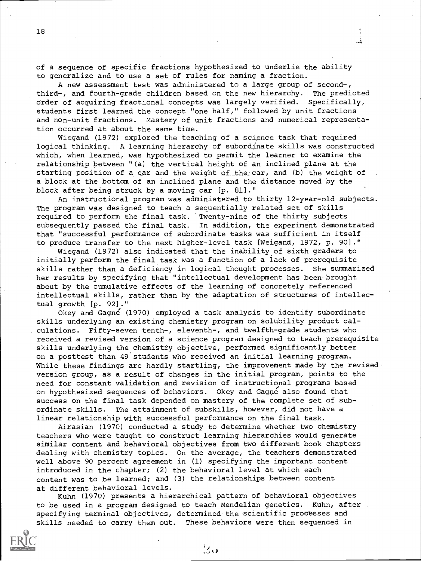of a sequence of specific fractions hypothesized to underlie the ability to generalize and to use a set of rules for naming a fraction.

A new assessment test was administered to a large group of second-, third-, and fourth-grade children based on the new hierarchy. The predicted order of acquiring fractional concepts was largely verified. Specifically, students first learned the concept "one half," followed by unit fractions and non-unit fractions. Mastery of unit fractions and numerical representation occurred at about the same time.

Wiegand (1972) explored the teaching of a science task that required logical thinking. A learning hierarchy of subordinate skills was constructed which, when learned, was hypothesized to permit the learner to examine the relationship between "(a) the vertical height of an inclined plane at the starting position of a car and the weight of the,'car, and (b) the weight of a block at the bottom of an inclined plane and the distance moved by the block after being struck by a moving car [p. 81]."

An instructional program was administered to thirty 12-year-old subjects. The program was designed to teach a sequentially related set of skills required to perform the final task. Twenty-nine of the thirty subjects subsequently passed the final task. In addition, the experiment demonstrated that "successful performance of subordinate tasks was sufficient in itself to produce transfer to the next higher-level task [Weigand, 1972, p. 90]."

Wiegand (1972) also indicated that the inability of sixth graders to initially perform the final task was a function of a lack of prerequisite skills rather than a deficiency in logical thought processes. She summarized her results by specifying that "intellectual development has been brought about by the cumulative effects of the learning of concretely referenced intellectual skills, rather than by the adaptation of structures of intellectual growth [p. 92]."

Okey and Gagne (1970) employed a task analysis to identify subordinate skills underlying an existing chemistry program on solubility product calculations. Fifty-seven tenth-, eleventh-, and twelfth-grade students who received a revised version of a science program designed to teach prerequisite skills underlying the chemistry objective, performed significantly better on a posttest than 49 students who received an initial learning program. While these findings are hardly startling, the improvement made by the revised version group, as a result of changes in the initial program, points to the need for constant validation and revision of instructional programs based on hypothesized sequences of behaviors. Okey and Gagne also found that success on the final task depended on mastery of the complete set of subordinate skills. The attainment of subskills, however, did not have a linear relationship with successful performance on the final task.

Airasian (1970) conducted a study to determine whether two chemistry teachers who were taught to construct learning hierarchies would generate similar content and behavioral objectives from two different book chapters dealing with chemistry topics. On the average, the teachers demonstrated well above 90 percent agreement in (1) specifying the important content introduced in the chapter; (2) the behavioral level at which each content was to be learned; and (3) the relationships between content at different behavioral levels.

Kuhn (1970) presents a hierarchical pattern of behavioral objectives to be used in a program designed to teach Mendelian genetics. Kuhn, after specifying terminal objectives, determined-the scientific processes and skills needed to carry them out. These behaviors were then sequenced in

 $\mathcal{L}_{\mathbf{Q}}$ 

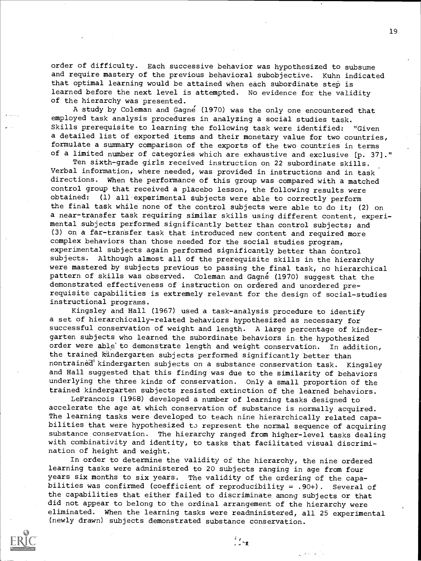order of difficulty. Each successive behavior was hypothesized to subsume and require mastery of the previous behavioral subobjective. Kuhn indicated that optimal learning would be attained when each subordinate step is learned before the next level is attempted. No evidence for the validity of the hierarchy was presented.

A study by Coleman and Gagne (1970) was the only one encountered that employed task analysis procedures in analyzing a social studies task. Skills prerequisite to learning the following task were identified: "Given a detailed list of exported items and their monetary value for two countries, formulate a summary comparison of the exports of the two countries in terms of a limited number of categories which are exhaustive and exclusive [p. 37]."

Ten sixth-grade girls received instruction on 22 subordinate skills. Verbal information, where needed, was provided in instructions and in task directions. When the performance of this group was compared with a matched control group that received a placebo lesson, the following results were obtained: (1) all experimental subjects were able to correctly perform the final task while none of the control subjects were able to do it; (2) on a near-transfer task requiring similar skills using different content, experimental subjects performed significantly better than control subjects; and (3) on a far-transfer task that introduced new content and required more complex behaviors than those needed for the social studies program, experimental subjects again performed significantly better than control subjects. Although almost all of the prerequisite skills in the hierarchy were mastered by subjects previous to passing the final task, no hierarchical pattern of skills was observed. Coleman and Gagne (1970) suggest that the demonstrated effectiveness of instruction on ordered and unordered prerequisite capabilities is extremely relevant for the design of social-studies instructional programs.

Kingsley and Hall (1967) used a task-analysis procedure to identify a set of hierarchically-related behaviors hypothesized as necessary for successful conservation of weight and length. A large percentage of kindergarten subjects who learned the subordinate behaviors in the hypothesized order were able'to demonstrate length and weight conservation. In addition, the trained kindergarten subjects performed significantly better than nontrained kindergarten subjects on a substance conservation task. Kingsley and Hall suggested that this finding was due to the similarity of behaviors underlying the three kinds of conservation. Only a small proportion of the trained kindergarten subjects resisted extinction of the learned behaviors.

LeFrancois (1968) developed a number of learning tasks designed to accelerate the age at which conservation of substance is normally acquired. The learning tasks were developed to teach nine hierarchically related capabilities that were hypothesized to represent the normal sequence of acquiring substance conservation. The hierarchy ranged from higher-level tasks dealing with combinativity and identity, to tasks that facilitated visual discrimination of height and weight.

In order to determine the validity of the hierarchy, the nine ordered learning tasks were administered to 20 subjects ranging in age from four years six months to six years. The validity of the ordering of the capabilities was confirmed (coefficient of reproducibility = .90+). Several of the capabilities that either failed to discriminate among subjects or that did not appear to belong to the ordinal arrangement of the hierarchy were eliminated. When the learning tasks were readministered, all 25 experimental (newly drawn) subjects demonstrated substance conservation.

الهندارية

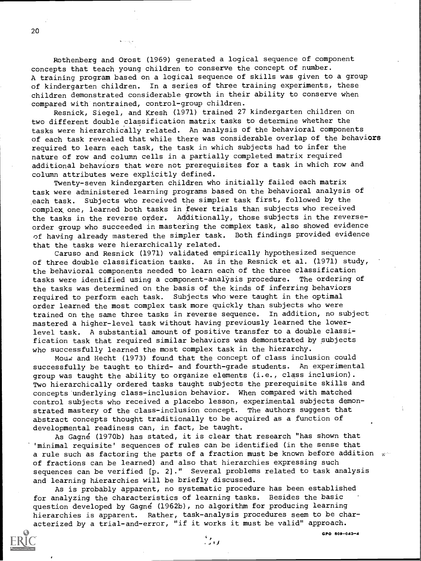Rothenberg and Orost (1969) generated a logical sequence of component concepts that teach young children to conserve the concept of number. A training program based on a logical sequence of skills was given to a group of kindergarten children. In a series of three training experiments, these children demonstrated considerable growth in their ability to conserve when compared with nontrained, control-group children.

Resnick, Siegel, and Kresh (1971) trained 27 kindergarten children on two different double classification matrix tasks to determine whether the tasks were hierarchically related. An analysis of the behavioral components of each task revealed that while there was considerable overlap of the behaviors required to learn each task, the task in which subjects had to infer the nature of row and column cells in a partially completed matrix required additional behaviors that were not prerequisites for a task in which row and column attributes were explicitly defined.

Twenty-seven kindergarten children who initially failed each matrix task were administered learning programs based on the behavioral analysis of each task. Subjects who received the simpler task first, followed by the complex one, learned both tasks in fewer trials than subjects who received the tasks in the reverse order. Additionally, those subjects in the reverseorder group who succeeded in mastering the complex task, also showed evidence of having already mastered the simpler task. Both findings provided evidence that the tasks were hierarchically related.

Caruso and Resnick (1971) validated empirically hypothesized sequence of three double classification tasks. As in the Resnick et al. (1971) study, the behavioral components needed to learn each of the three classification tasks were identified using a component-analysis procedure. The ordering of the tasks was determined on the basis of the kinds of inferring behaviors required to perform each task. Subjects who were taught in the optimal order learned the most complex task more quickly than subjects who were trained on the same three tasks in reverse sequence. In addition, no subject mastered a higher-level task without having previously learned the lowerlevel task. A substantial amount of positive transfer to a double classification task that required similar behaviors was demonstrated by subjects who successfully learned the most complex task in the hierarchy.

Mouw and Hecht (1973) found that the concept of class inclusion could successfully be taught to third- and fourth-grade students. An experimental group was taught the ability to organize elements (i.e., class inclusion). Two hierarchically ordered tasks taught subjects the prerequisite skills and concepts underlying class-inclusion behavior. When compared with matched control subjects who received a placebo lesson, experimental subjects demonstrated mastery of the class-inclusion concept. The authors suggest that abstract concepts thought traditionally to be acquired as a function of developmental readiness can, in fact, be taught.

As Gagne (1970b) has stated, it is clear that research "has shown that 'minimal requisite' sequences of rules can be identified (in the sense that a rule such as factoring the parts of a fraction must be known before addition  $x^{\omega}$ of fractions can be learned) and also that hierarchies expressing such sequences can be verified [p. 2]." Several problems related to task analysis and learning hierarchies will be briefly discussed.

As is probably apparent, no systematic procedure has been established for analyzing the characteristics of learning tasks. Besides the basic question developed by Gagne (1962b), no algorithm for producing learning hierarchies is apparent. Rather, task-analysis procedures seem to be characterized by a trial-and-error, "if it works it must be valid" approach.

 $GPO 809 - 043 - 4$ 

 $\frac{c}{2}$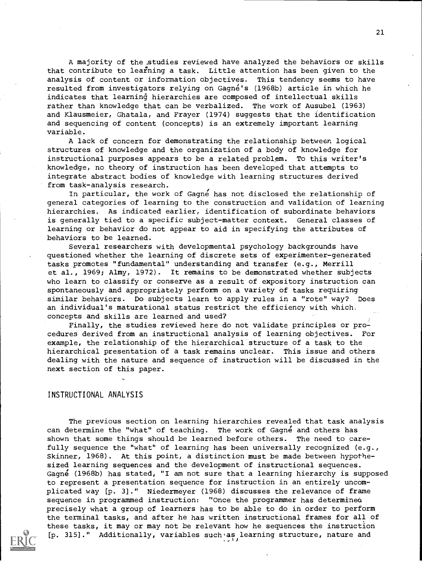A majority of the,studies reviewed have analyzed the behaviors or skills that contribute to learning a task. Little attention has been given to the analysis of content or information objectives. This tendency seems to have resulted from investigators relying on Gagné's (1968b) article in which he indicates that learning hierarchies are composed of intellectual skills rather than knowledge that can be verbalized. The work of Ausubel (1963) and Klausmeier, Ghatala, and Frayer (1974) suggests that the identification and sequencing of content (concepts) is an extremely important learning variable.

A lack of concern for demonstrating the relationship between logical structures of knowledge and the organization of a body of knowledge for instructional purposes appears to be a related problem. To this writer's knowledge, no theory of instruction has been developed that attempts to integrate abstract bodies of knowledge with learning structures derived from task-analysis research.

In particular, the work of Gagne has not disclosed the relationship of general categories of learning to the construction and validation of learning hierarchies. As indicated earlier, identification of subordinate behaviors is generally tied to a specific subject-matter context. General classes of learning or behavior do not appear to aid in specifying the attributes of behaviors to be learned.

Several researchers with developmental psychology backgrounds have questioned whether the learning of discrete sets of experimenter-generated tasks promotes "fundamental" understanding and transfer (e.g., Merrill et al., 1969; Almy, 1972). It remains to be demonstrated whether subjects who learn to classify or conserve as a result of expository instruction can spontaneously and appropriately perform on a variety of tasks requiring similar behaviors. Do subjects learn to apply rules in a "rote" way? Does an individual's maturational status restrict the efficiency with which concepts and skills are learned and used?

Finally, the studies reviewed here do not validate principles or procedures derived from an instructional analysis of learning objectives. For example, the relationship of the hierarchical structure of a task to the hierarchical presentation of a task remains unclear. This issue and others dealing with the nature and sequence of instruction will be discussed in the next section of this paper.

#### INSTRUCTIONAL ANALYSIS

The previous section on learning hierarchies revealed that task analysis can determine the "what" of teaching. The work of Gagne and others has shown that some things should be learned before others. The need to carefully sequence the "what" of learning has been universally recognized (e.g., Skinner, 1968). At this point, a distinction must be made between hypothesized learning sequences and the development of instructional sequences. Gagne (1968b) has stated, "I am not sure that a learning hierarchy is supposed to represent a presentation sequence for instruction in an entirely uncomplicated way [p. 3]." Niedermeyer (1968) discusses the relevance of frame sequence in programmed instruction: "Once the programmer has determines precisely what a group of learners has to be able to do in order to perform the terminal tasks, and after he has written instructional frames for all of these tasks, it may or may not be relevant how he sequences the instruction [p. 315]." Additionally, variables such as learning structure, nature and

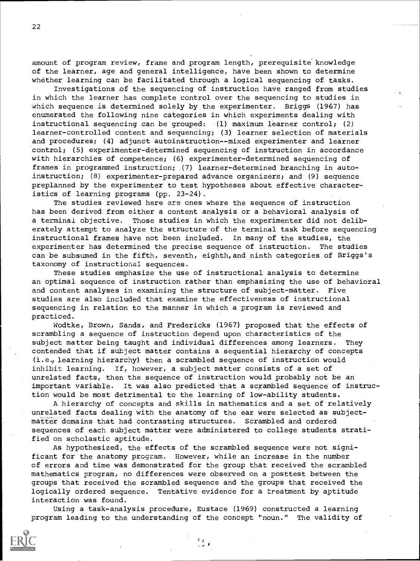amount of program review, frame and program length, prerequisite knowledge of the learner, age and general intelligence, have been shown to determine whether learning can be facilitated through a logical sequencing of tasks.

Investigations .of the sequencing of instruction have ranged from studies in which the learner has complete control over the sequencing to studies in which sequence is determined solely by the experimenter. Briggs (1967) has enumerated the following nine categories in which experiments dealing with instructional sequencing can be grouped: (1) maximum learner control; (2) learner-controlled content and sequencing; (3) learner selection of materials and procedures; (4) adjunct autoinstruction--mixed experimenter and learner control; (5) experimenter-determined sequencing of instruction in accordance with hierarchies of competence; (6) experimenter-determined sequencing of frames in programmed instruction; (7) learner-determined branching in autoinstruction; (8) experimenter-prepared advance organizers; and (9) sequence preplanned by the experimenter to test hypotheses about effective characteristics of learning programs (pp. 23-24).

The studies reviewed here are ones where the sequence of instruction has been derived from either a content analysis or a behavioral analysis of a terminal objective. Those studies in which the experimenter did not deliberately attempt to analyze the structure of the terminal task before sequencing instructional frames have not been included. In many of the studies, the experimenter has determined the precise sequence of instruction. The studies can be subsumed in the fifth, seventh, eighth,and ninth categories of Briggs's taxonomy of instructional sequences.

These studies emphasize the use of instructional analysis to determine an optimal sequence of instruction rather than emphasizing the use of behavioral and content analyses in examining the structure of subject-matter. Five studies are also included that examine the effectiveness of instructional sequencing in relation to the manner in which a program is reviewed and practiced.

Wodtke, Brown, Sands, and Fredericks (1967) proposed that the effects of scrambling a sequence of instruction depend upon characteristics of the subject matter being taught and individual differences among learners. They contended that if subject matter contains a sequential hierarchy of concepts (i.e., learning hierarchy) then a scrambled sequence of instruction would inhibit learning. If, however, a subject matter consists of a set of unrelated facts, then the sequence of instruction would probably not be an important variable. It was also predicted that a scrambled sequence of instruction would be most detrimental to the learning of low-ability students.

A hierarchy of concepts and skills in mathematics and a set of relatively unrelated facts dealing with the anatomy of the ear were selected as subjectmatter domains that had contrasting structures. Scrambled and ordered sequences of each subject matter were administered to college students stratified on scholastic aptitude.

As hypothesized, the effects of the scrambled sequence were not significant for the anatomy program. However, while an increase in the number of errors and time was demonstrated for the group that received the scrambled mathematics program, no differences were observed on a posttest between the groups that received the scrambled sequence and the groups that received the logically ordered sequence. Tentative evidence for a treatment by aptitude interaction was found.

Using a task-analysis procedure, Eustace (1969) constructed a learning program leading to the understanding of the concept "noun." The validity of

I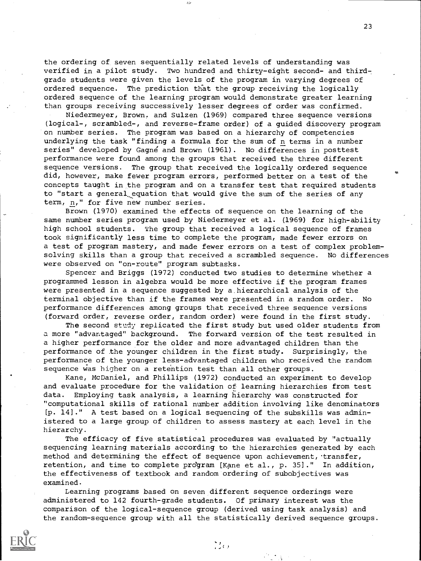the ordering of seven sequentially related levels of understanding was verified in a pilot study. Two hundred and thirty-eight second- and thirdgrade students were given the levels of the program in varying degrees of ordered sequence. The prediction that the group receiving the logically ordered sequence of the learning program would demonstrate greater learning than groups receiving successively lesser degrees of order was confirmed.

Niedermeyer, Brown. and Sulzen (1969) compared three sequence versions (logical-, scrambled-, and reverse-frame order) of a guided discovery program on number series. The program was based on a hierarchy of competencies underlying the task "finding a formula for the sum of n terms in a number series" developed by Gagne and Brown (1961). No differences in posttest performance were found among the groups that received the three different sequence versions. The group that received the logically ordered sequence did, however, make fewer program errors, performed better on a test of the concepts taught in the program and on a transfer test that required students to "start a general equation that would give the sum of the series of any term, n," for five new number series.

Brown (1970) examined the effects of sequence on the learning of the same number series program used by Niedermeyer et al. (1969) for high-ability high school students. The group that received a logical sequence of frames took significantly less time to complete the program, made fewer errors on a test of program mastery, and made fewer errors on a test of complex problemsolving skills than a group that received a scrambled sequence. No differences were observed on "on-route" program subtasks.

Spencer and Briggs (1972) conducted two studies to determine whether a programmed lesson in algebra would be more effective if the program frames were presented in a sequence suggested by a hierarchical analysis of the terminal objective than if the frames were presented in a random order. No performance differences among groups that received three sequence versions (forward order, reverse order, random order) were found in the first study.

The second study replicated the first study but used older students from a more "advantaged" background. The forward version of the test resulted in a higher performance for the older and more advantaged children than the performance of the younger children in the first study. Surprisingly, the performance of the younger less-advantaged children who received the random sequence was higher on a retention test than all other groups.

Kane, McDaniel, and Phillips (1972) conducted an experiment to develop and evaluate procedure for the validation of learning hierarchies from test data. Employing task analysis, a learning hierarchy was constructed for "computational skills of rational number addition involving like denominators [p. 14)." A test based on a logical sequencing of the subskills was administered to a large group of children to assess mastery at each level in the hierarchy.

The efficacy of five statistical procedures was evaluated by "actually sequencing learning materials according to the hierarchies generated by each method and determining the effect of sequence upon achievement, transfer, retention, and time to complete program [Kane et al., p. 35]." In addition, the effectiveness of textbook and random ordering of subobjectives was examined.

Learning programs based on seven different sequence orderings were administered to 142 fourth-grade students. Of primary interest was the comparison of the logical-sequence group (derived using task analysis) and the random-sequence group with all the statistically derived sequence groups.

 $\frac{C}{\sqrt{2}}$ 

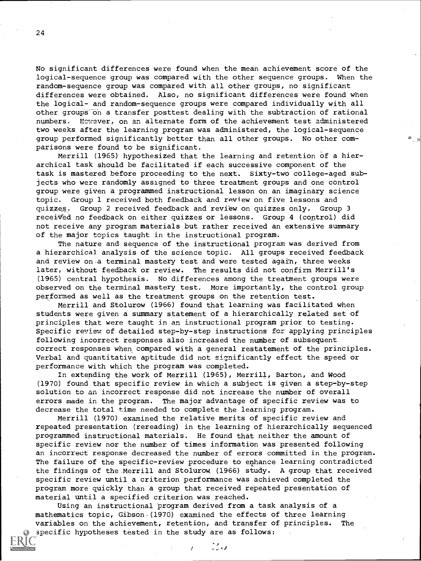No significant differences were found when the mean achievement score of the logical-sequence group was compared with the other sequence groups. When the random-sequence group was compared with all other groups, no significant differences were obtained. Also, no significant differences were found when the logical- and random-sequence groups were compared individually with all other groups-on a transfer posttest dealing with the subtraction of rational numbers. However, on an alternate form of the achievement test administered two weeks after the learning program was administered, the logical-sequence group performed significantly better than all other groups. No other comparisons were found to be significant.

Merrill (1965) hypothesized that the learning and retention of a hierarchical task should be facilitated if each successive component of the task is mastered before proceeding to the next. Sixty-two college-aged subjects who were randomly assigned to three treatment groups and one control group were given a programmed instructional lesson on an imaginary science topic. Group 1 received both feedback and review on five lessons and quizzes. Group 2 received feedback and review on quizzes only. Group 3 received no feedback on either quizzes or lessons. Group 4 (control) did not receive any program materials but rather received an extensive summary of the major topics taught in the instructional program.

The nature and sequence of the instructional program was derived from a hierarchical analysis of the science topic. All groups received feedback and review on.a terminal mastery test and were tested again, three weeks later, without feedback or review. The results did not confirm Merrill's (1965) central hypothesis. No differences among the treatment groups were observed on the terminal mastery test. More importantly, the control group performed as well as the treatment groups on the retention test.

Merrill and Stolurow (1966) found that learning was facilitated when students were given a summary statement of a hierarchically related set of principles that were taught in an instructional program prior to testing. Specific review of detailed step-by-step instructions for applying principles following incorrect responses also increased the number of subsequent correct responses when compared with a general restatement of the principles. Verbal and quantitative aptitude did not significantly effect the speed or performance with which the program was completed.

In extending the work of Merrill (1965), Merrill, Barton, and Wood (1970) found that specific review in which a subject is given a step-by-step solution to an incorrect response did not increase the number of overall errors made in the program. The major advantage of specific review was to decrease the total time needed to complete the learning program.

Merrill (1970) examined the relative merits of specific review and repeated presentation (rereading) in the learning of hierarchically sequenced programmed instructional materials. He found that neither the amount of specific review nor the number of times information was presented following an incorrect response decreased the number of errors committed in the program. The failure of the specific-review procedure to enhance learning contradicted the findings of the Merrill and Stolurow (1966) study. A group that received specific review until a criterion performance was achieved completed the program more quickly than a group that received repeated presentation of material until a specified criterion was reached.

Using an instructional program derived from a task analysis of a mathematics topic, Gibson.(1970) examined the effects of three learning variables on the achievement, retention, and transfer of principles. The specific hypotheses tested in the study are as follows:

こっ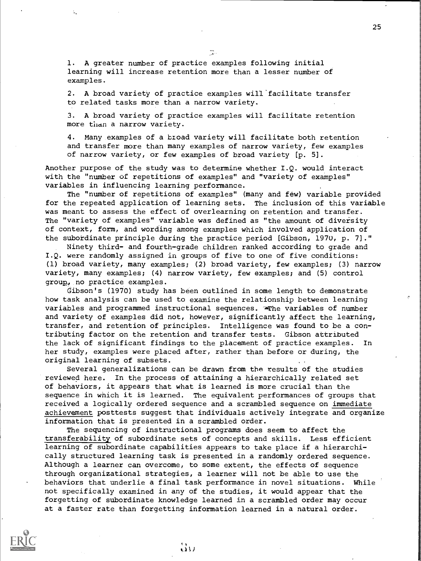1. A greater number of practice examples following initial learning will increase retention more than a lesser number of examples.

2. A broad variety of practice examples will'facilitate transfer to related tasks more than a narrow variety.

3. A broad variety of practice examples will facilitate retention more than a narrow variety.

4. Many examples of a broad variety will facilitate both retention and transfer more than many examples of narrow variety, few examples of narrow variety, or few examples of broad variety [p. 5].

Another purpose of the study was to determine whether I.Q. would interact with the "number of repetitions of examples" and "variety of examples" variables in influencing learning performance.

The "number of repetitions of examples" (many and few) variable provided for the repeated application of learning sets. The inclusion of this variable was meant to assess the effect of overlearning on retention and transfer. The "variety of examples" variable was defined as "the amount of diversity of context, form, and wording among examples which involved application of the subordinate principle during the practice period [Gibson, 1970, p. 7]."

Ninety third- and fourth-grade children ranked according to grade and I.Q. were randomly assigned in groups of five to one of five conditions: (1) broad variety, many examples; (2) broad variety, few examples; (3) narrow variety, many examples; (4) narrow variety, few examples; and (5) control group, no practice examples.

Gibson's (1970) study has been outlined in some length to demonstrate how task analysis can be used to examine the relationship between learning variables and programmed instructional sequences. Whe variables of number and variety of examples did not, however, significantly affect the learning, transfer, and retention of principles. Intelligence was found to be a contributing factor on the retention and transfer tests. Gibson attributed the lack of significant findings to the placement of practice examples. In her study, examples were placed after, rather than before or during, the original learning of subsets.

Several generalizations can be drawn from the results of the studies reviewed here. In the process of attaining a hierarchically related set of behaviors, it appears that what is learned is more crucial than the sequence in which it is learned. The equivalent performances of groups that received a logically ordered sequence and a scrambled sequence on immediate achievement posttests suggest that individuals actively integrate and organize information that is presented in a scrambled order.

The sequencing of instructional programs does seem to affect the transferability of subordinate sets of concepts and skills. Less efficient learning of subordinate capabilities appears to take place if a hierarchically structured learning task is presented in a randomly ordered sequence. Although a learner can overcome, to some extent, the effects of sequence through organizational strategies, a learner will not be able to use the behaviors that underlie a final task performance in novel situations. While not specifically examined in any of the studies, it would appear that the forgetting of subordinate knowledge learned in a scrambled order may occur at a faster rate than forgetting information learned in a natural order.

 $\ddot{\omega}$ 



 $\frac{1}{2}$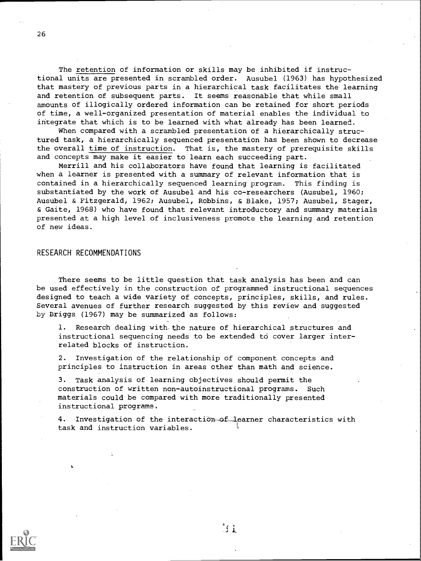The retention of information or skills may be inhibited if instructional units are presented in scrambled order. Ausubel (1963) has hypothesized that mastery of previous parts in a hierarchical task facilitates the learning and retention of subsequent parts. It seems reasonable that while small amounts of illogically ordered information can be retained for short periods of time, a well-organized presentation of material enables the individual to integrate that which is to be learned with what already has been learned.

When compared with a scrambled presentation of a hierarchically structured task, a hierarchically sequenced presentation has been shown to decrease the overall time of instruction. That is, the mastery of prerequisite skills and concepts may make it easier to learn each succeeding part.

Merrill and his collaborators have found that learning is facilitated when a learner is presented with a summary of relevant information that is contained in a hierarchically sequenced learning program. This finding is substantiated by the work of Ausubel and his co-researchers (Ausubel, 1960; Ausubel & Fitzgerald, 1962; Ausubel, Robbins, & Blake, 1957; Ausubel, Stager, & Gaite, 1968) who have found that relevant introductory and summary materials presented at a high level of inclusiveness promote the learning and retention of new ideas.

#### RESEARCH RECOMMENDATIONS

There seems to be little question that task analysis has been and can be used effectively in the construction of programmed instructional sequences designed to teach a wide variety of concepts, principles, skills, and rules. Several avenues of further research suggested by this review and suggested by Briggs (1967) may be summarized as follows:

1. Research dealing with the nature of hierarchical structures and instructional sequencing needs to be extended to cover larger interrelated blocks of instruction.

2. Investigation of the relationship of component concepts and principles to instruction in areas other than math and science.

3. Task analysis of learning objectives should permit the construction of written non-autoinstructional programs. Such materials could be compared with more traditionally presented instructional programs.

4. Investigation of the interaction-of-learner characteristics with task and instruction variables.

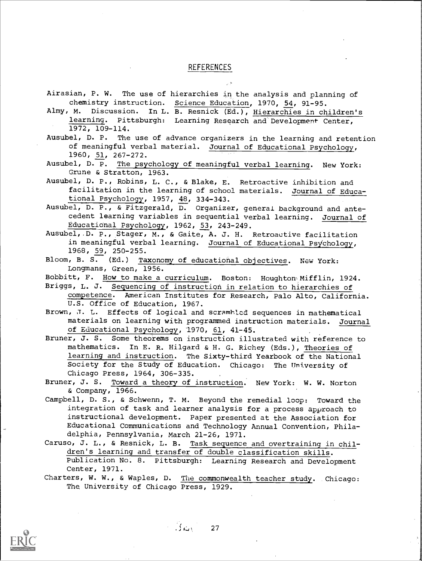### **REFERENCES**

 $\sim$   $\sigma$ 

| Airasian, P. W. The use of hierarchies in the analysis and planning of                   |
|------------------------------------------------------------------------------------------|
| chemistry instruction. Science Education, 1970, 54, 91-95.                               |
| Almy, M. Discussion. In L. B. Resnick (Ed.), Hierarchies in children's                   |
| learning. Pittsburgh: Learning Research and Development Center,                          |
| 1972, 109-114.                                                                           |
| Ausubel, D. P. The use of advance organizers in the learning and retention               |
| of meaningful verbal material. Journal of Educational Psychology,                        |
| 1960, 51, 267-272.                                                                       |
|                                                                                          |
| Ausubel, D. P. The psychology of meaningful verbal learning. New York:                   |
| Grune & Stratton, 1963.                                                                  |
| Ausubel, D. P., Robins, L. C., & Blake, E. Retroactive inhibition and                    |
| facilitation in the learning of school materials. Journal of Educa-                      |
| tional Psychology, 1957, 48, 334-343.                                                    |
| Ausubel, D. P., & Fitzgerald, D. Organizer, general background and ante-                 |
| cedent learning variables in sequential verbal learning. Journal of                      |
| Educational Psychology, 1962, 53, 243-249.                                               |
| Ausubel, D. P., Stager, M., & Gaite, A. J. H. Retroactive facilitation                   |
| in meaningful verbal learning. Journal of Educational Psychology,                        |
| 1968, 59, 250-255.                                                                       |
| Bloom, B. S. (Ed.) Taxonomy of educational objectives. New York:                         |
| Longmans, Green, 1956.                                                                   |
| Bobbitt, F. How to make a curriculum. Boston: Houghton Mifflin, 1924.                    |
| Briggs, L. J. Sequencing of instruction in relation to hierarchies of                    |
| competence. American Institutes for Research, Palo Alto, California.                     |
| U.S. Office of Education, 1967.                                                          |
|                                                                                          |
| Brown, J. L. Effects of logical and scramhled sequences in mathematical                  |
| materials on learning with programmed instruction materials. Journal                     |
|                                                                                          |
| of Educational Psychology, 1970, 61, 41-45.                                              |
| Bruner, J. S. Some theorems on instruction illustrated with reference to                 |
| mathematics. In E. R. Hilgard & H. G. Richey (Eds.), Theories of                         |
| learning and instruction. The Sixty-third Yearbook of the National                       |
| Society for the Study of Education. Chicago: The University of                           |
| Chicago Press, 1964, 306-335.                                                            |
|                                                                                          |
| Bruner, J. S. Toward a theory of instruction. New York: W. W. Norton<br>& Company, 1966. |
|                                                                                          |
| Campbell, D. S., & Schwenn, T. M. Beyond the remedial loop: Toward the                   |
| integration of task and learner analysis for a process approach to                       |
| instructional development. Paper presented at the Association for                        |
| Educational Communications and Technology Annual Convention, Phila-                      |
| delphia, Pennsylvania, March 21-26, 1971.                                                |
| Caruso, J. L., & Resnick, L. B. Task sequence and overtraining in chil-                  |
| dren's learning and transfer of double classification skills.                            |
| Publication No. 8. Pittsburgh: Learning Research and Development<br>Center, 1971.        |

Charters, W. W., & Waples, D. <u>The commonwealth teacher stud</u>y. Chicago: The. University of Chicago Press, 1929.



 $\ddot{ }$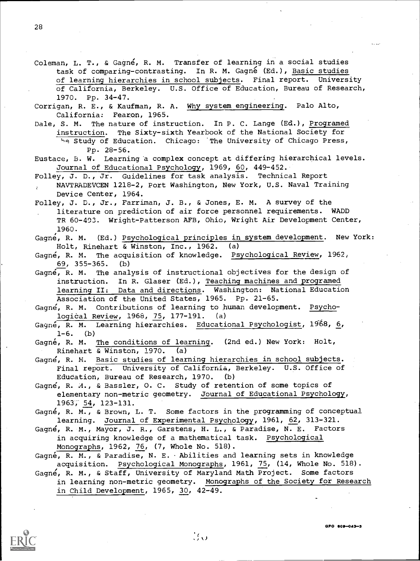- Coleman, L. T., & Gagne, R. M. Transfer of learning in a social studies task of comparing-contrasting. In R. M. Gagné (Ed.), Basic studies of learning hierarchies in school subjects. Final report. University of California, Berkeley. U.S. Office of Education, Bureau of Research, 1970. Pp. 34-47.
- Corrigan, R. E., & Kaufman, R. A. Why system engineering. Palo Alto, California: Fearon, 1965.
- Dale, S. M. The nature of instruction. In P. C. Lange (Ed.), Programed instruction. The Sixty-sixth Yearbook of the National Society for be Study of Education. Chicago: The University of Chicago Press, Pp. 28-56.
- Eustace, B. W. Learning a complex concept at differing hierarchical levels. Journal of Educational Psychology, 1969, 60, 449-452.
- Folley, J. D., Jr. Guidelines for task analysis. Technical Report NAVTRADEVCEN 1218-2, Port Washington, New York, U.S. Naval Training Device Center, 1964.
- Folley, J. D., Jr., Farriman, J. B., & Jones, E. M. A survey of the literature on prediction of air force personnel requirements. WADD TR 60-493. Wright-Patterson AFB, Ohio, Wright Air Development Center, 1960.
- Gagne, R. M. (Ed.) Psychological principles in system development. New York: Holt, Rinehart & Winston, Inc., 1962. (a)

Gagne, R. M. The acquisition of knowledge. Psychological Review, 1962, 69, 355-365. (b)

- Gagne, R. M. The analysis of instructional objectives for the design of instruction. In R. Glaser (Ed.), Teaching machines and programed learning II: Data and directions. Washington: National Education Association of the United States, 1965. Pp. 21-65.
- Gagne, R. M. Contributions of learning to human development. Psychological Review, 1968, 75, 177-191. (a)
- Gayné, R. M. Learning hierarchies. Educational Psychologist, 1968, 6,  $1-6.$  (b)
- Gagné, R. M. The conditions of learning. (2nd ed.) New York: Holt, Rinehart & Winston, 1970. (a)
- Gagne, R. M. Basic studies of learning hierarchies in school subjects.<br>Final report. University of California, Berkeley. U.S. Office of Final report. University of California, Berkeley. Education, Bureau of Research, 1970. (b)
- Gagne, R. A., & Bassler, 0. C. Study of retention of some topics of elementary non-metric geometry. Journal of Educational Psychology, 1963, 54, 123-131.
- Gagné, R. M., & Brown, L. T. Some factors in the programming of conceptual learning. Journal of Experimental Psychology, 1961, 62, 313-321.
- Gagne, R. M., Mayor, J. R., Garstens, H. L., & Paradise, N. E. Factors in acquiring knowledge of a mathematical task. Psychological Monographs, 1962, 76, (7, Whole No. 518).
- Gagné, R. M., & Paradise, N. E. Abilities and learning sets in knowledge acquisition. Psychological Monographs, 1961, 75, (14, Whole No. 518).
- Gagne, R. M., & Staff, University of Maryland Math Project. Some factors in learning non-metric geometry. Monographs of the Society for Research in Child Development, 1965, 30, 42-49.



GPO 609-043-3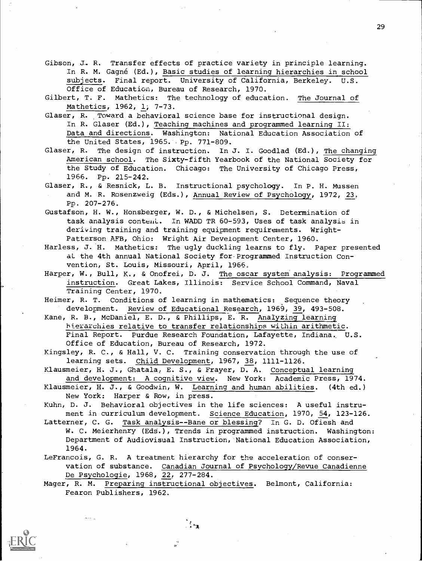Gibson, J. R. Transfer effects of practice variety in principle learning. In R. M. Gagné (Ed.), Basic studies of learning hierarchies in school subjects. Final report. University of California, Berkeley. U.S. Office of Education, Bureau of Research, 1970.

Gilbert, T. F. Mathetics: The technology of education. The Journal of Mathetics, 1962, 1; 7-73.

- Glaser, R. Toward a behavioral science base for instructional design. In R. Glaser (Ed.), Teaching machines and programmed learning II: Data and directions. Washington: National Education Association of the United States, 1965. Pp. 771-809.
- Glaser, R. The design of instruction. In J. I. Goodlad (Ed.), The changing American school. The Sixty-fifth Yearbook of the National Society for the Study of Education. Chicago: The University of Chicago Press, 1966. Pp. 215-242.
- Glaser, R., & Resnick, L. B. Instructional psychology. In P. H. Mussen and M. R. Rosenzweig (Eds.), Annual Review of Psychology, 1972, 23, Pp. 207-276.
- Gustafson, H. W., Honsberger, W. D., & Michelsen, S. Determination of task analysis conteni. In WADD TR 60-593, Uses of task analysis in deriving training and training equipment requirements. Wright-Patterson AFB, Ohio: Wright Air Development Center, 1960.
- Harless, J. H. Mathetics: The ugly duckling learns to fly. Paper presented aL the 4th annual National Society for-Programmed Instruction Convention, St. Louis, Missouri, April, 1966.
- Harper, W., Bull, K., & Onofrei, D. J. The oscar system analysis: Programmed instruction. Great Lakes, Illinois: Service School Command, Naval Training Center, 1970.
- Heimer, R. T. Conditions of learning in mathematics: Sequence theory development. Review of Educational Research, 1969, 39, 493-508.
- Kane, R. B., McDaniel, E. D., & Phillips, E. R. Analyzing learning hierarchies relative to transfer relationships within arithmetic. Final Report. Purdue Research Foundation, Lafayette, Indiana. U.S. Office of Education, Bureau of Research, 1972.
- Kingsley, R. C., & Hall, V. C. Training conservation through the use of learning sets. Child Development, 1967, 38, 1111-1126.
- Klausmeier, H. J., Ghatala, E. S., & Frayer, D. A. Conceptual learning and development: A cognitive view. New York: Academic Press, 1974.
- Klausmeier, H. J., & Goodwin, W. Learning and human abilities. (4th ed.) New York: Harper & Row, in press.
- Kuhn, D. J. Behavioral objectives in the life sciences: A useful instrument in curriculum development. Science Education, 1970, 54, 123-126.
- Latterner, C. G. Task analysis--Bane or blessing? In G. D. Ofiesh and W. C. Meierhenry (EdS.), Trends in programmed instruction. Washington: Department of Audiovisual Instruction, National Education Association, 1964.
- LeFrancois, G. R. A treatment hierarchy for the acceleration of conservation of substance. Canadian Journal of Psychology/Revue Canadienne De Psychologie, 1968, 22, 277-284.
- Mager, R. M. Preparing instructional objectives. Belmont, California: Fearon Publishers, 1962.

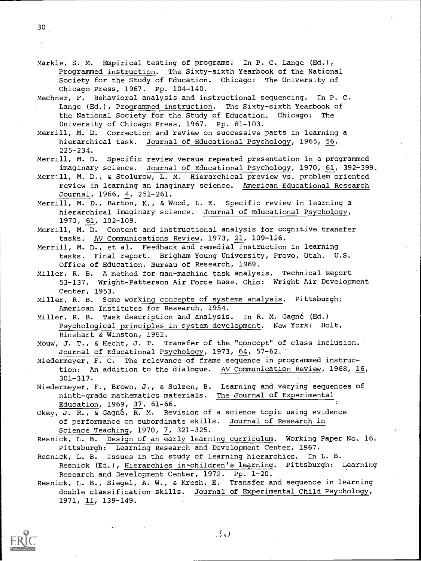Mechner, F. Behavioral analysis and instructional sequencing. In P. C Lange (Ed.), Programmed instruction. The Sixty-sixth Yearbook of the National Society for the Study of Education. Chicago: The University of Chicago Press, 1967. Pp. 81-103.

Merrill, M. D. Correction and review on successive parts in learning a hierarchical task. Journal of Educational Psychology, 1965, 56, 225-234.

Merrill, M. D. Specific review versus repeated presentation in a programmed imaginary science. Journal of Educational Psychology, 1970, 61, 392-399.

Merrill, M. D., & Stolurow, L. M. Hierarchical preview vs. problem oriented review in learning an imaginary science. American Educational Research Journal, 1966, 4, 251-261.

Merrill, M. D., Barton, K., & Wood, L. E. Specific review in learning a hierarchical imaginary science. Journal of Educational Psychology, 1970, 61, 102-109.

Merrill, M. D. Content and instructional analysis for cognitive transfer tasks. AV Communications Review, 1973, 21, 109-126.

Merrill, M. D., et al. Feedback and remedial instruction in learning tasks. Final report. Brigham Young University, Provo, Utah. U.S. Office of Education, Bureau of Research, 1969.

Miller, R. B. A method for man-machine task analysis. Technical Report 53-137. Wright-Patterson Air Force Base, Ohio: Wright Air Development Center, 1953.

Miller, R. B. Some working concepts of systems analysis. Pittsburgh: American Institutes for Research, 1954.

Miller, R. B. Task description and analysis. In R. M. Gagné (Ed.) Psychological principles in system development. New York: Holt, Rinehart & Winston, 1962.

Mouw, J. T., & Hecht, J. T. Transfer of the "concept" of class inclusion. Journal of Educational Psychology, 1973, 64, 57-62.

Niedermeyer, F. C. The relevance of frame sequence in programmed instruction: An addition to the dialogue. AV Communication Review, 1968, 16, 301-317.

Niedermeyer, F., Brown, J., & Sulzen, B. Learning and varying sequences of ninth-grade mathematics materials. The Journal of Experimental Education, 1969, 37, 61-66.

Okey, J. R., & Gagné, R. M. Revision of a science topic using evidence of performance on subordinate skills. Journal of Research in Science Teaching, 1970, 7, 321-325.

Resnick, L. B. Design of an early learning curriculum. Working Paper No. 16. Pittsburgh: Learning Research and Development Center, 1967.

Resnick, L. B. Issues in the study of learning hierarchies. In L. B. Resnick (Ed.), Hierarchies in children's learning. Pittsburgh: Learning Research and Development Center, 1972. Pp. 1-20.

Resnick, L. B., Siegel, A. W., & Kresh, E. Transfer and sequence in learning double classification skills. Journal of Experimental Child Psychology, 1971, 11, 139-149.

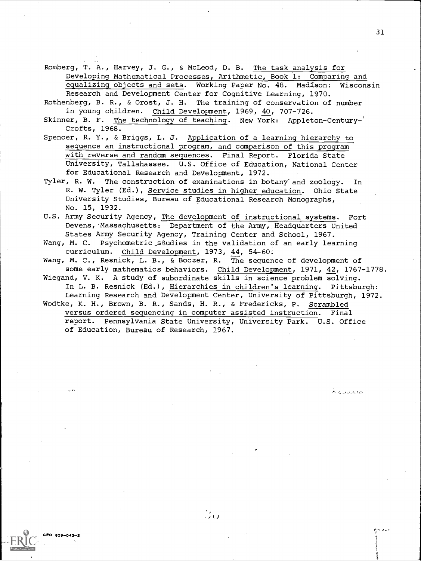Romberg, T. A., Harvey, J. G., & McLeod, D. B. The task analysis for Developing Mathematical Processes, Arithmetic, Book 1: Comparing and equalizing objects and sets. Working Paper No. 48. Madison: Wisconsin Research and Development Center for Cognitive Learning, 1970.

Rothenberg, B. R., & Orost, J. H. The training of conservation of number in young children. Child Development, 1969, 40, 707-726.

Skinner, B. F. The technology of teaching. New York: Appleton-Century-' Crofts, 1968.

Spencer, R. Y., & Briggs, L. J. Application of a learning hierarchy to sequence an instructional program, and comparison of this program with reverse and random sequences. Final Report. Florida State University, Tallahassee. U.S. Office of Education, National Center for Educational Research and Development, 1972.

Tyler, R. W. The construction of examinations in botany and zoology. In R. W. Tyler (Ed.), Service studies in higher education. Ohio State University Studies, Bureau of Educational Research Monographs, No. 15, 1932.

U.S. Army Security Agency, The development of instructional systems. Fort Devens, Massachusetts: Department of the Army, Headquarters United States Army Security Agency, Training Center and School, 1967.

Wang, M. C. Psychometric studies in the validation of an early learning curriculum. Child Development, 1973, 44, 54-60.

Wang, M. C., Resnick, L. B., & Boozer, R. The sequence of development of some early mathematics behaviors. Child Development, 1971, 42, 1767-1778.

Wiegand, V. K. A study of subordinate skills in science problem solving. In L. B. Resnick (Ed.), Hierarchies in children's learning. Pittsburgh:

Learning Research and Development Center, University of Pittsburgh, 1972. Wodtke, K. H., Brown, B. R., Sands, H. R., & Fredericks, P. Scrambled versus ordered sequencing in computer assisted instruction. Final report. Pennsylvania State University, University Park. U.S. Office of Education, Bureau of Research, 1967.

r:,,1441

2. <sub>Grutsbookba</sub>nd

 $809 - 043 - 2$